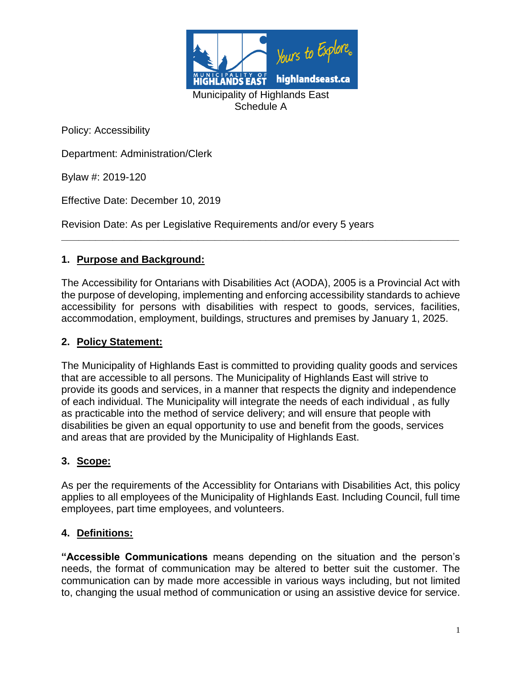

Department: Administration/Clerk

Bylaw #: 2019-120

Effective Date: December 10, 2019

Revision Date: As per Legislative Requirements and/or every 5 years

## **1. Purpose and Background:**

The Accessibility for Ontarians with Disabilities Act (AODA), 2005 is a Provincial Act with the purpose of developing, implementing and enforcing accessibility standards to achieve accessibility for persons with disabilities with respect to goods, services, facilities, accommodation, employment, buildings, structures and premises by January 1, 2025.

**\_\_\_\_\_\_\_\_\_\_\_\_\_\_\_\_\_\_\_\_\_\_\_\_\_\_\_\_\_\_\_\_\_\_\_\_\_\_\_\_\_\_\_\_\_\_\_\_\_\_\_\_\_\_\_\_\_\_\_\_\_\_\_\_\_\_\_\_\_\_**

#### **2. Policy Statement:**

The Municipality of Highlands East is committed to providing quality goods and services that are accessible to all persons. The Municipality of Highlands East will strive to provide its goods and services, in a manner that respects the dignity and independence of each individual. The Municipality will integrate the needs of each individual , as fully as practicable into the method of service delivery; and will ensure that people with disabilities be given an equal opportunity to use and benefit from the goods, services and areas that are provided by the Municipality of Highlands East.

#### **3. Scope:**

As per the requirements of the Accessiblity for Ontarians with Disabilities Act, this policy applies to all employees of the Municipality of Highlands East. Including Council, full time employees, part time employees, and volunteers.

#### **4. Definitions:**

**"Accessible Communications** means depending on the situation and the person's needs, the format of communication may be altered to better suit the customer. The communication can by made more accessible in various ways including, but not limited to, changing the usual method of communication or using an assistive device for service.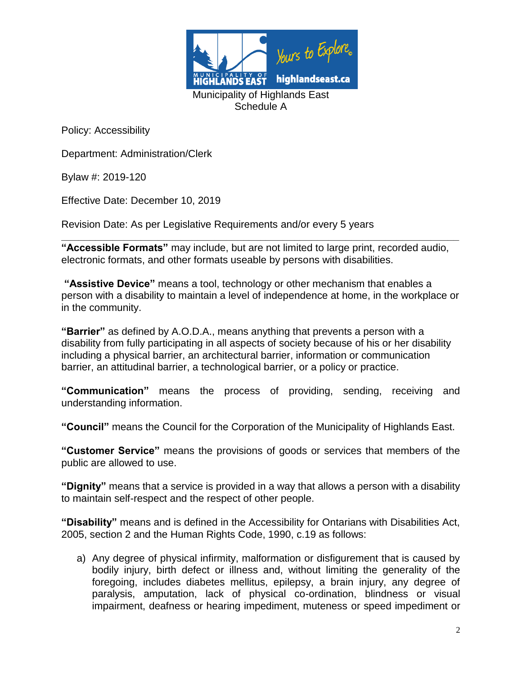

Department: Administration/Clerk

Bylaw #: 2019-120

Effective Date: December 10, 2019

Revision Date: As per Legislative Requirements and/or every 5 years

**\_\_\_\_\_\_\_\_\_\_\_\_\_\_\_\_\_\_\_\_\_\_\_\_\_\_\_\_\_\_\_\_\_\_\_\_\_\_\_\_\_\_\_\_\_\_\_\_\_\_\_\_\_\_\_\_\_\_\_\_\_\_\_\_\_\_\_\_\_\_ "Accessible Formats"** may include, but are not limited to large print, recorded audio, electronic formats, and other formats useable by persons with disabilities.

**"Assistive Device"** means a tool, technology or other mechanism that enables a person with a disability to maintain a level of independence at home, in the workplace or in the community.

**"Barrier"** as defined by A.O.D.A., means anything that prevents a person with a disability from fully participating in all aspects of society because of his or her disability including a physical barrier, an architectural barrier, information or communication barrier, an attitudinal barrier, a technological barrier, or a policy or practice.

**"Communication"** means the process of providing, sending, receiving and understanding information.

**"Council"** means the Council for the Corporation of the Municipality of Highlands East.

**"Customer Service"** means the provisions of goods or services that members of the public are allowed to use.

**"Dignity"** means that a service is provided in a way that allows a person with a disability to maintain self-respect and the respect of other people.

**"Disability"** means and is defined in the Accessibility for Ontarians with Disabilities Act, 2005, section 2 and the Human Rights Code, 1990, c.19 as follows:

a) Any degree of physical infirmity, malformation or disfigurement that is caused by bodily injury, birth defect or illness and, without limiting the generality of the foregoing, includes diabetes mellitus, epilepsy, a brain injury, any degree of paralysis, amputation, lack of physical co-ordination, blindness or visual impairment, deafness or hearing impediment, muteness or speed impediment or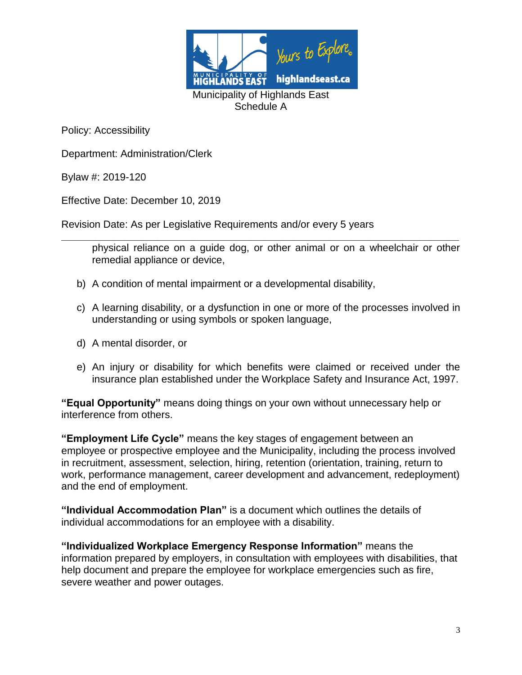

Department: Administration/Clerk

Bylaw #: 2019-120

Effective Date: December 10, 2019

Revision Date: As per Legislative Requirements and/or every 5 years

**\_\_\_\_\_\_\_\_\_\_\_\_\_\_\_\_\_\_\_\_\_\_\_\_\_\_\_\_\_\_\_\_\_\_\_\_\_\_\_\_\_\_\_\_\_\_\_\_\_\_\_\_\_\_\_\_\_\_\_\_\_\_\_\_\_\_\_\_\_\_** physical reliance on a guide dog, or other animal or on a wheelchair or other remedial appliance or device,

- b) A condition of mental impairment or a developmental disability,
- c) A learning disability, or a dysfunction in one or more of the processes involved in understanding or using symbols or spoken language,
- d) A mental disorder, or
- e) An injury or disability for which benefits were claimed or received under the insurance plan established under the Workplace Safety and Insurance Act, 1997.

**"Equal Opportunity"** means doing things on your own without unnecessary help or interference from others.

**"Employment Life Cycle"** means the key stages of engagement between an employee or prospective employee and the Municipality, including the process involved in recruitment, assessment, selection, hiring, retention (orientation, training, return to work, performance management, career development and advancement, redeployment) and the end of employment.

**"Individual Accommodation Plan"** is a document which outlines the details of individual accommodations for an employee with a disability.

**"Individualized Workplace Emergency Response Information"** means the information prepared by employers, in consultation with employees with disabilities, that help document and prepare the employee for workplace emergencies such as fire, severe weather and power outages.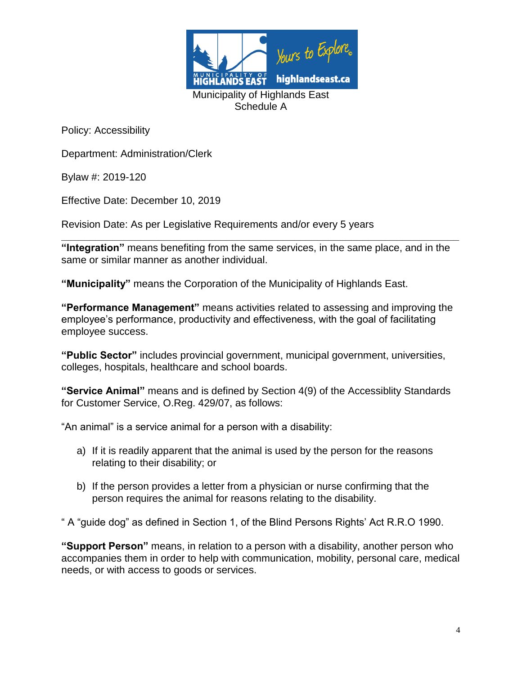

Department: Administration/Clerk

Bylaw #: 2019-120

Effective Date: December 10, 2019

Revision Date: As per Legislative Requirements and/or every 5 years

**\_\_\_\_\_\_\_\_\_\_\_\_\_\_\_\_\_\_\_\_\_\_\_\_\_\_\_\_\_\_\_\_\_\_\_\_\_\_\_\_\_\_\_\_\_\_\_\_\_\_\_\_\_\_\_\_\_\_\_\_\_\_\_\_\_\_\_\_\_\_ "Integration"** means benefiting from the same services, in the same place, and in the same or similar manner as another individual.

**"Municipality"** means the Corporation of the Municipality of Highlands East.

**"Performance Management"** means activities related to assessing and improving the employee's performance, productivity and effectiveness, with the goal of facilitating employee success.

**"Public Sector"** includes provincial government, municipal government, universities, colleges, hospitals, healthcare and school boards.

**"Service Animal"** means and is defined by Section 4(9) of the Accessiblity Standards for Customer Service, O.Reg. 429/07, as follows:

"An animal" is a service animal for a person with a disability:

- a) If it is readily apparent that the animal is used by the person for the reasons relating to their disability; or
- b) If the person provides a letter from a physician or nurse confirming that the person requires the animal for reasons relating to the disability.

" A "guide dog" as defined in Section 1, of the Blind Persons Rights' Act R.R.O 1990.

**"Support Person"** means, in relation to a person with a disability, another person who accompanies them in order to help with communication, mobility, personal care, medical needs, or with access to goods or services.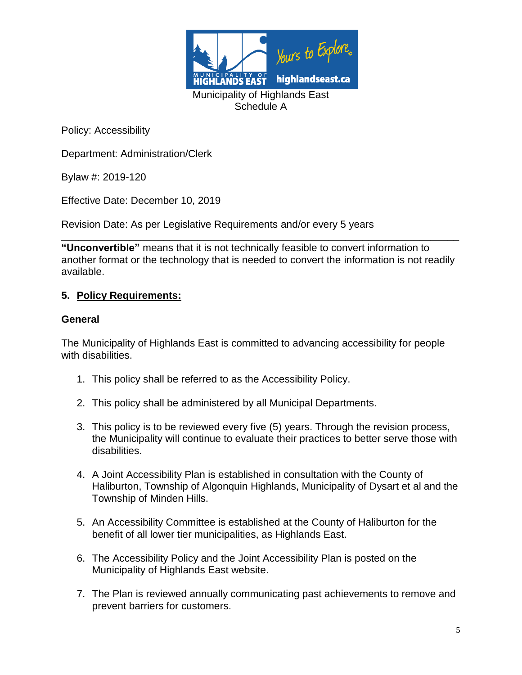

Department: Administration/Clerk

Bylaw #: 2019-120

Effective Date: December 10, 2019

Revision Date: As per Legislative Requirements and/or every 5 years

**\_\_\_\_\_\_\_\_\_\_\_\_\_\_\_\_\_\_\_\_\_\_\_\_\_\_\_\_\_\_\_\_\_\_\_\_\_\_\_\_\_\_\_\_\_\_\_\_\_\_\_\_\_\_\_\_\_\_\_\_\_\_\_\_\_\_\_\_\_\_ "Unconvertible"** means that it is not technically feasible to convert information to another format or the technology that is needed to convert the information is not readily available.

#### **5. Policy Requirements:**

#### **General**

The Municipality of Highlands East is committed to advancing accessibility for people with disabilities.

- 1. This policy shall be referred to as the Accessibility Policy.
- 2. This policy shall be administered by all Municipal Departments.
- 3. This policy is to be reviewed every five (5) years. Through the revision process, the Municipality will continue to evaluate their practices to better serve those with disabilities.
- 4. A Joint Accessibility Plan is established in consultation with the County of Haliburton, Township of Algonquin Highlands, Municipality of Dysart et al and the Township of Minden Hills.
- 5. An Accessibility Committee is established at the County of Haliburton for the benefit of all lower tier municipalities, as Highlands East.
- 6. The Accessibility Policy and the Joint Accessibility Plan is posted on the Municipality of Highlands East website.
- 7. The Plan is reviewed annually communicating past achievements to remove and prevent barriers for customers.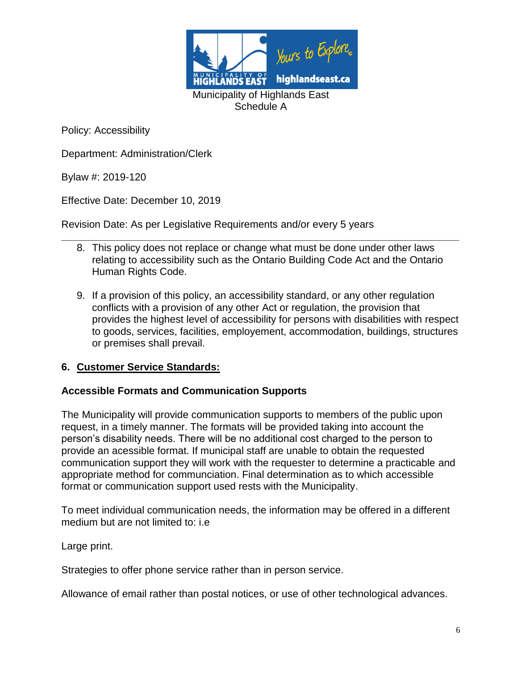

Department: Administration/Clerk

Bylaw #: 2019-120

Effective Date: December 10, 2019

Revision Date: As per Legislative Requirements and/or every 5 years

- **\_\_\_\_\_\_\_\_\_\_\_\_\_\_\_\_\_\_\_\_\_\_\_\_\_\_\_\_\_\_\_\_\_\_\_\_\_\_\_\_\_\_\_\_\_\_\_\_\_\_\_\_\_\_\_\_\_\_\_\_\_\_\_\_\_\_\_\_\_\_** 8. This policy does not replace or change what must be done under other laws relating to accessibility such as the Ontario Building Code Act and the Ontario Human Rights Code.
	- 9. If a provision of this policy, an accessibility standard, or any other regulation conflicts with a provision of any other Act or regulation, the provision that provides the highest level of accessibility for persons with disabilities with respect to goods, services, facilities, employement, accommodation, buildings, structures or premises shall prevail.

#### **6. Customer Service Standards:**

#### **Accessible Formats and Communication Supports**

The Municipality will provide communication supports to members of the public upon request, in a timely manner. The formats will be provided taking into account the person's disability needs. There will be no additional cost charged to the person to provide an acessible format. If municipal staff are unable to obtain the requested communication support they will work with the requester to determine a practicable and appropriate method for communciation. Final determination as to which accessible format or communication support used rests with the Municipality.

To meet individual communication needs, the information may be offered in a different medium but are not limited to: i.e

Large print.

Strategies to offer phone service rather than in person service.

Allowance of email rather than postal notices, or use of other technological advances.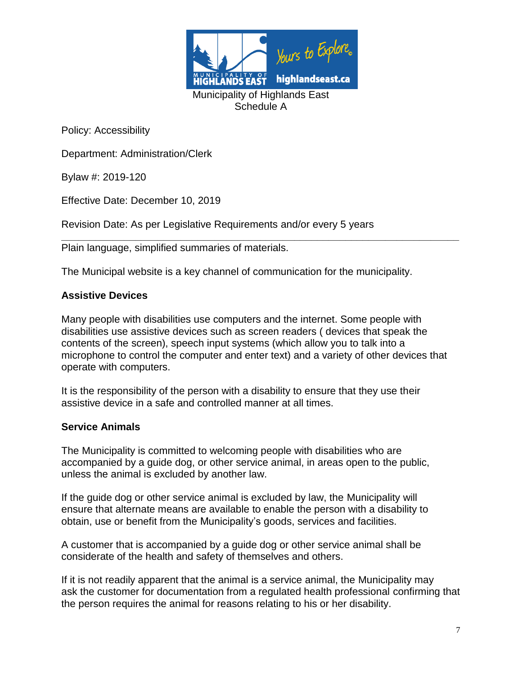

Department: Administration/Clerk

Bylaw #: 2019-120

Effective Date: December 10, 2019

Revision Date: As per Legislative Requirements and/or every 5 years

**\_\_\_\_\_\_\_\_\_\_\_\_\_\_\_\_\_\_\_\_\_\_\_\_\_\_\_\_\_\_\_\_\_\_\_\_\_\_\_\_\_\_\_\_\_\_\_\_\_\_\_\_\_\_\_\_\_\_\_\_\_\_\_\_\_\_\_\_\_\_** Plain language, simplified summaries of materials.

The Municipal website is a key channel of communication for the municipality.

#### **Assistive Devices**

Many people with disabilities use computers and the internet. Some people with disabilities use assistive devices such as screen readers ( devices that speak the contents of the screen), speech input systems (which allow you to talk into a microphone to control the computer and enter text) and a variety of other devices that operate with computers.

It is the responsibility of the person with a disability to ensure that they use their assistive device in a safe and controlled manner at all times.

#### **Service Animals**

The Municipality is committed to welcoming people with disabilities who are accompanied by a guide dog, or other service animal, in areas open to the public, unless the animal is excluded by another law.

If the guide dog or other service animal is excluded by law, the Municipality will ensure that alternate means are available to enable the person with a disability to obtain, use or benefit from the Municipality's goods, services and facilities.

A customer that is accompanied by a guide dog or other service animal shall be considerate of the health and safety of themselves and others.

If it is not readily apparent that the animal is a service animal, the Municipality may ask the customer for documentation from a regulated health professional confirming that the person requires the animal for reasons relating to his or her disability.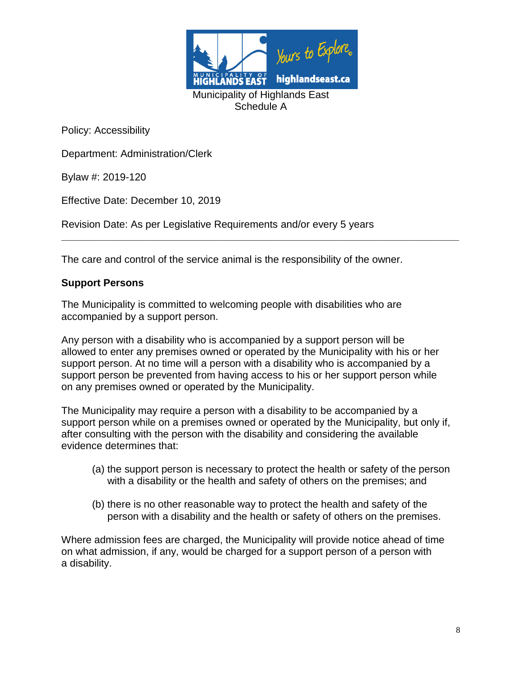

Department: Administration/Clerk

Bylaw #: 2019-120

Effective Date: December 10, 2019

Revision Date: As per Legislative Requirements and/or every 5 years

The care and control of the service animal is the responsibility of the owner.

**\_\_\_\_\_\_\_\_\_\_\_\_\_\_\_\_\_\_\_\_\_\_\_\_\_\_\_\_\_\_\_\_\_\_\_\_\_\_\_\_\_\_\_\_\_\_\_\_\_\_\_\_\_\_\_\_\_\_\_\_\_\_\_\_\_\_\_\_\_\_**

#### **Support Persons**

The Municipality is committed to welcoming people with disabilities who are accompanied by a support person.

Any person with a disability who is accompanied by a support person will be allowed to enter any premises owned or operated by the Municipality with his or her support person. At no time will a person with a disability who is accompanied by a support person be prevented from having access to his or her support person while on any premises owned or operated by the Municipality.

The Municipality may require a person with a disability to be accompanied by a support person while on a premises owned or operated by the Municipality, but only if, after consulting with the person with the disability and considering the available evidence determines that:

- (a) the support person is necessary to protect the health or safety of the person with a disability or the health and safety of others on the premises; and
- (b) there is no other reasonable way to protect the health and safety of the person with a disability and the health or safety of others on the premises.

Where admission fees are charged, the Municipality will provide notice ahead of time on what admission, if any, would be charged for a support person of a person with a disability.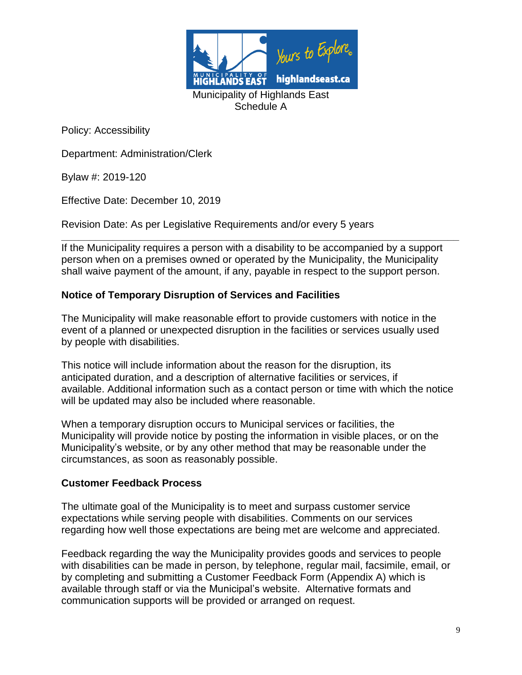

Department: Administration/Clerk

Bylaw #: 2019-120

Effective Date: December 10, 2019

Revision Date: As per Legislative Requirements and/or every 5 years

**\_\_\_\_\_\_\_\_\_\_\_\_\_\_\_\_\_\_\_\_\_\_\_\_\_\_\_\_\_\_\_\_\_\_\_\_\_\_\_\_\_\_\_\_\_\_\_\_\_\_\_\_\_\_\_\_\_\_\_\_\_\_\_\_\_\_\_\_\_\_** If the Municipality requires a person with a disability to be accompanied by a support person when on a premises owned or operated by the Municipality, the Municipality shall waive payment of the amount, if any, payable in respect to the support person.

## **Notice of Temporary Disruption of Services and Facilities**

The Municipality will make reasonable effort to provide customers with notice in the event of a planned or unexpected disruption in the facilities or services usually used by people with disabilities.

This notice will include information about the reason for the disruption, its anticipated duration, and a description of alternative facilities or services, if available. Additional information such as a contact person or time with which the notice will be updated may also be included where reasonable.

When a temporary disruption occurs to Municipal services or facilities, the Municipality will provide notice by posting the information in visible places, or on the Municipality's website, or by any other method that may be reasonable under the circumstances, as soon as reasonably possible.

#### **Customer Feedback Process**

The ultimate goal of the Municipality is to meet and surpass customer service expectations while serving people with disabilities. Comments on our services regarding how well those expectations are being met are welcome and appreciated.

Feedback regarding the way the Municipality provides goods and services to people with disabilities can be made in person, by telephone, regular mail, facsimile, email, or by completing and submitting a Customer Feedback Form (Appendix A) which is available through staff or via the Municipal's website. Alternative formats and communication supports will be provided or arranged on request.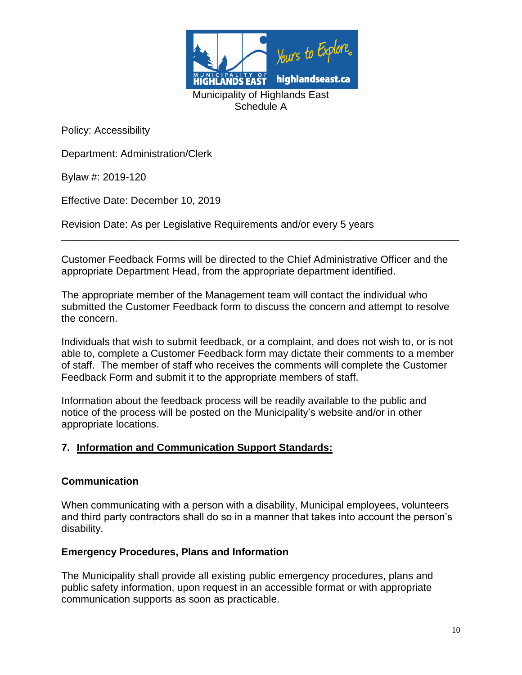

Department: Administration/Clerk

Bylaw #: 2019-120

Effective Date: December 10, 2019

Revision Date: As per Legislative Requirements and/or every 5 years

Customer Feedback Forms will be directed to the Chief Administrative Officer and the appropriate Department Head, from the appropriate department identified.

**\_\_\_\_\_\_\_\_\_\_\_\_\_\_\_\_\_\_\_\_\_\_\_\_\_\_\_\_\_\_\_\_\_\_\_\_\_\_\_\_\_\_\_\_\_\_\_\_\_\_\_\_\_\_\_\_\_\_\_\_\_\_\_\_\_\_\_\_\_\_**

The appropriate member of the Management team will contact the individual who submitted the Customer Feedback form to discuss the concern and attempt to resolve the concern.

Individuals that wish to submit feedback, or a complaint, and does not wish to, or is not able to, complete a Customer Feedback form may dictate their comments to a member of staff. The member of staff who receives the comments will complete the Customer Feedback Form and submit it to the appropriate members of staff.

Information about the feedback process will be readily available to the public and notice of the process will be posted on the Municipality's website and/or in other appropriate locations.

#### **7. Information and Communication Support Standards:**

#### **Communication**

When communicating with a person with a disability, Municipal employees, volunteers and third party contractors shall do so in a manner that takes into account the person's disability.

#### **Emergency Procedures, Plans and Information**

The Municipality shall provide all existing public emergency procedures, plans and public safety information, upon request in an accessible format or with appropriate communication supports as soon as practicable.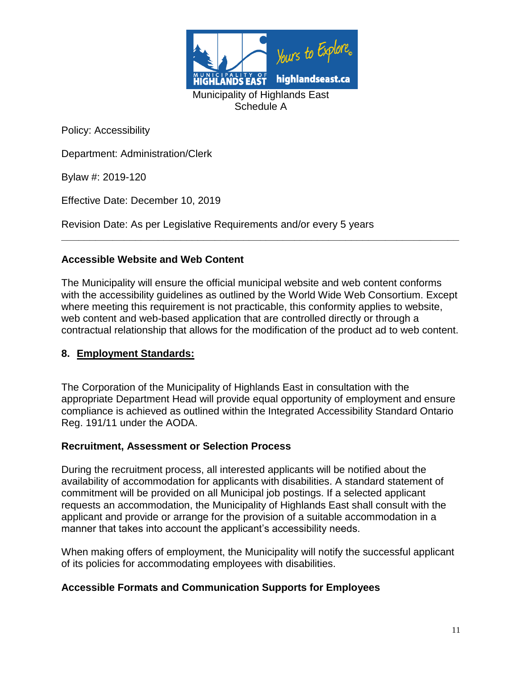

Department: Administration/Clerk

Bylaw #: 2019-120

Effective Date: December 10, 2019

Revision Date: As per Legislative Requirements and/or every 5 years

## **Accessible Website and Web Content**

The Municipality will ensure the official municipal website and web content conforms with the accessibility guidelines as outlined by the World Wide Web Consortium. Except where meeting this requirement is not practicable, this conformity applies to website, web content and web-based application that are controlled directly or through a contractual relationship that allows for the modification of the product ad to web content.

**\_\_\_\_\_\_\_\_\_\_\_\_\_\_\_\_\_\_\_\_\_\_\_\_\_\_\_\_\_\_\_\_\_\_\_\_\_\_\_\_\_\_\_\_\_\_\_\_\_\_\_\_\_\_\_\_\_\_\_\_\_\_\_\_\_\_\_\_\_\_**

#### **8. Employment Standards:**

The Corporation of the Municipality of Highlands East in consultation with the appropriate Department Head will provide equal opportunity of employment and ensure compliance is achieved as outlined within the Integrated Accessibility Standard Ontario Reg. 191/11 under the AODA.

#### **Recruitment, Assessment or Selection Process**

During the recruitment process, all interested applicants will be notified about the availability of accommodation for applicants with disabilities. A standard statement of commitment will be provided on all Municipal job postings. If a selected applicant requests an accommodation, the Municipality of Highlands East shall consult with the applicant and provide or arrange for the provision of a suitable accommodation in a manner that takes into account the applicant's accessibility needs.

When making offers of employment, the Municipality will notify the successful applicant of its policies for accommodating employees with disabilities.

## **Accessible Formats and Communication Supports for Employees**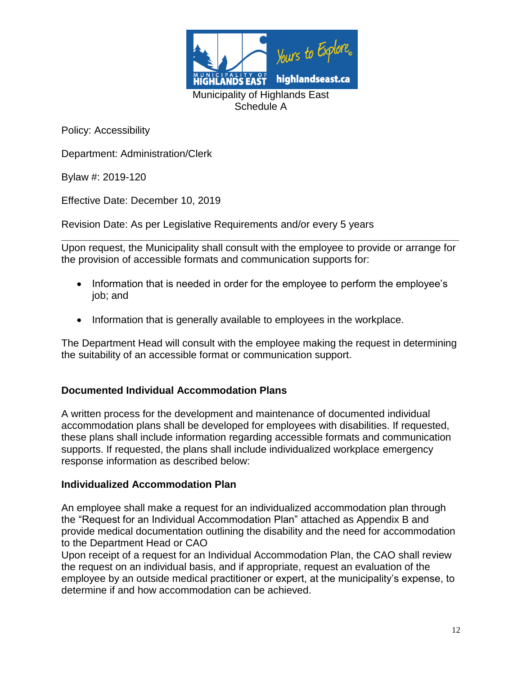

Department: Administration/Clerk

Bylaw #: 2019-120

Effective Date: December 10, 2019

Revision Date: As per Legislative Requirements and/or every 5 years

**\_\_\_\_\_\_\_\_\_\_\_\_\_\_\_\_\_\_\_\_\_\_\_\_\_\_\_\_\_\_\_\_\_\_\_\_\_\_\_\_\_\_\_\_\_\_\_\_\_\_\_\_\_\_\_\_\_\_\_\_\_\_\_\_\_\_\_\_\_\_** Upon request, the Municipality shall consult with the employee to provide or arrange for the provision of accessible formats and communication supports for:

- Information that is needed in order for the employee to perform the employee's job; and
- Information that is generally available to employees in the workplace.

The Department Head will consult with the employee making the request in determining the suitability of an accessible format or communication support.

## **Documented Individual Accommodation Plans**

A written process for the development and maintenance of documented individual accommodation plans shall be developed for employees with disabilities. If requested, these plans shall include information regarding accessible formats and communication supports. If requested, the plans shall include individualized workplace emergency response information as described below:

#### **Individualized Accommodation Plan**

An employee shall make a request for an individualized accommodation plan through the "Request for an Individual Accommodation Plan" attached as Appendix B and provide medical documentation outlining the disability and the need for accommodation to the Department Head or CAO

Upon receipt of a request for an Individual Accommodation Plan, the CAO shall review the request on an individual basis, and if appropriate, request an evaluation of the employee by an outside medical practitioner or expert, at the municipality's expense, to determine if and how accommodation can be achieved.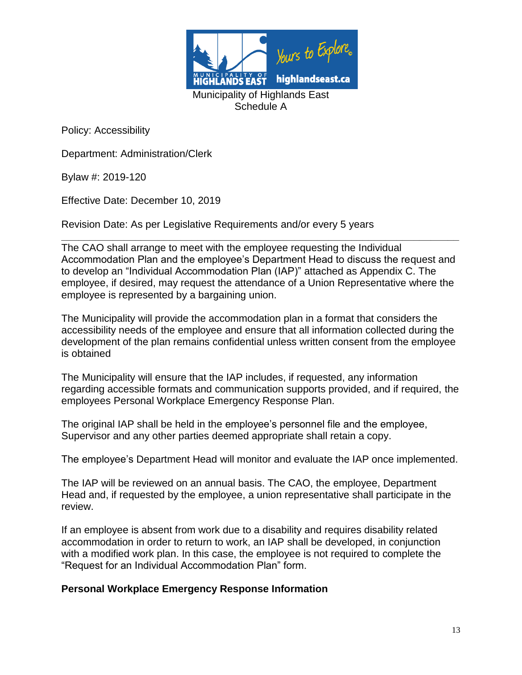

Department: Administration/Clerk

Bylaw #: 2019-120

Effective Date: December 10, 2019

Revision Date: As per Legislative Requirements and/or every 5 years

**\_\_\_\_\_\_\_\_\_\_\_\_\_\_\_\_\_\_\_\_\_\_\_\_\_\_\_\_\_\_\_\_\_\_\_\_\_\_\_\_\_\_\_\_\_\_\_\_\_\_\_\_\_\_\_\_\_\_\_\_\_\_\_\_\_\_\_\_\_\_** The CAO shall arrange to meet with the employee requesting the Individual Accommodation Plan and the employee's Department Head to discuss the request and to develop an "Individual Accommodation Plan (IAP)" attached as Appendix C. The employee, if desired, may request the attendance of a Union Representative where the employee is represented by a bargaining union.

The Municipality will provide the accommodation plan in a format that considers the accessibility needs of the employee and ensure that all information collected during the development of the plan remains confidential unless written consent from the employee is obtained

The Municipality will ensure that the IAP includes, if requested, any information regarding accessible formats and communication supports provided, and if required, the employees Personal Workplace Emergency Response Plan.

The original IAP shall be held in the employee's personnel file and the employee, Supervisor and any other parties deemed appropriate shall retain a copy.

The employee's Department Head will monitor and evaluate the IAP once implemented.

The IAP will be reviewed on an annual basis. The CAO, the employee, Department Head and, if requested by the employee, a union representative shall participate in the review.

If an employee is absent from work due to a disability and requires disability related accommodation in order to return to work, an IAP shall be developed, in conjunction with a modified work plan. In this case, the employee is not required to complete the "Request for an Individual Accommodation Plan" form.

#### **Personal Workplace Emergency Response Information**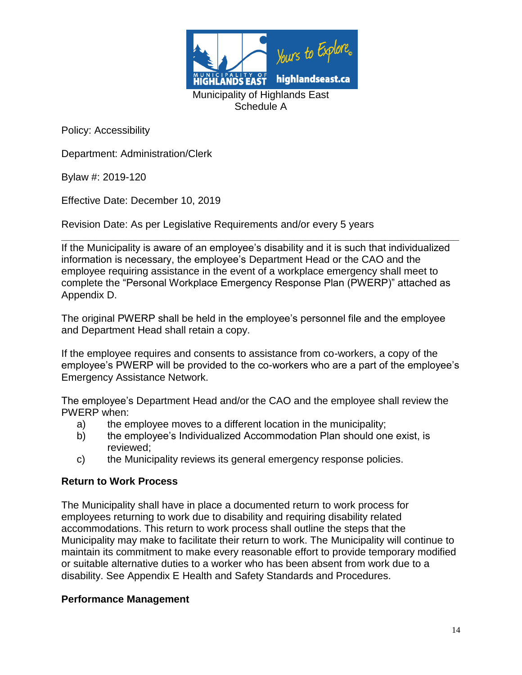

Department: Administration/Clerk

Bylaw #: 2019-120

Effective Date: December 10, 2019

Revision Date: As per Legislative Requirements and/or every 5 years

**\_\_\_\_\_\_\_\_\_\_\_\_\_\_\_\_\_\_\_\_\_\_\_\_\_\_\_\_\_\_\_\_\_\_\_\_\_\_\_\_\_\_\_\_\_\_\_\_\_\_\_\_\_\_\_\_\_\_\_\_\_\_\_\_\_\_\_\_\_\_** If the Municipality is aware of an employee's disability and it is such that individualized information is necessary, the employee's Department Head or the CAO and the employee requiring assistance in the event of a workplace emergency shall meet to complete the "Personal Workplace Emergency Response Plan (PWERP)" attached as Appendix D.

The original PWERP shall be held in the employee's personnel file and the employee and Department Head shall retain a copy.

If the employee requires and consents to assistance from co-workers, a copy of the employee's PWERP will be provided to the co-workers who are a part of the employee's Emergency Assistance Network.

The employee's Department Head and/or the CAO and the employee shall review the PWERP when:

- a) the employee moves to a different location in the municipality;
- b) the employee's Individualized Accommodation Plan should one exist, is reviewed;
- c) the Municipality reviews its general emergency response policies.

#### **Return to Work Process**

The Municipality shall have in place a documented return to work process for employees returning to work due to disability and requiring disability related accommodations. This return to work process shall outline the steps that the Municipality may make to facilitate their return to work. The Municipality will continue to maintain its commitment to make every reasonable effort to provide temporary modified or suitable alternative duties to a worker who has been absent from work due to a disability. See Appendix E Health and Safety Standards and Procedures.

#### **Performance Management**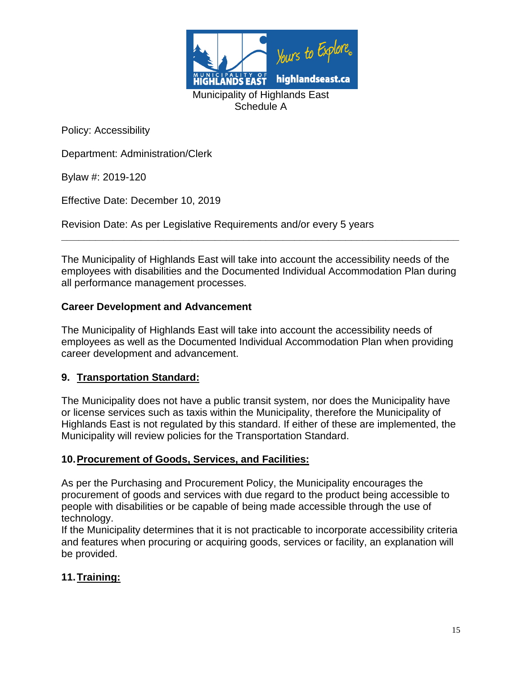

Department: Administration/Clerk

Bylaw #: 2019-120

Effective Date: December 10, 2019

Revision Date: As per Legislative Requirements and/or every 5 years

The Municipality of Highlands East will take into account the accessibility needs of the employees with disabilities and the Documented Individual Accommodation Plan during all performance management processes.

**\_\_\_\_\_\_\_\_\_\_\_\_\_\_\_\_\_\_\_\_\_\_\_\_\_\_\_\_\_\_\_\_\_\_\_\_\_\_\_\_\_\_\_\_\_\_\_\_\_\_\_\_\_\_\_\_\_\_\_\_\_\_\_\_\_\_\_\_\_\_**

## **Career Development and Advancement**

The Municipality of Highlands East will take into account the accessibility needs of employees as well as the Documented Individual Accommodation Plan when providing career development and advancement.

#### **9. Transportation Standard:**

The Municipality does not have a public transit system, nor does the Municipality have or license services such as taxis within the Municipality, therefore the Municipality of Highlands East is not regulated by this standard. If either of these are implemented, the Municipality will review policies for the Transportation Standard.

#### **10.Procurement of Goods, Services, and Facilities:**

As per the Purchasing and Procurement Policy, the Municipality encourages the procurement of goods and services with due regard to the product being accessible to people with disabilities or be capable of being made accessible through the use of technology.

If the Municipality determines that it is not practicable to incorporate accessibility criteria and features when procuring or acquiring goods, services or facility, an explanation will be provided.

## **11.Training:**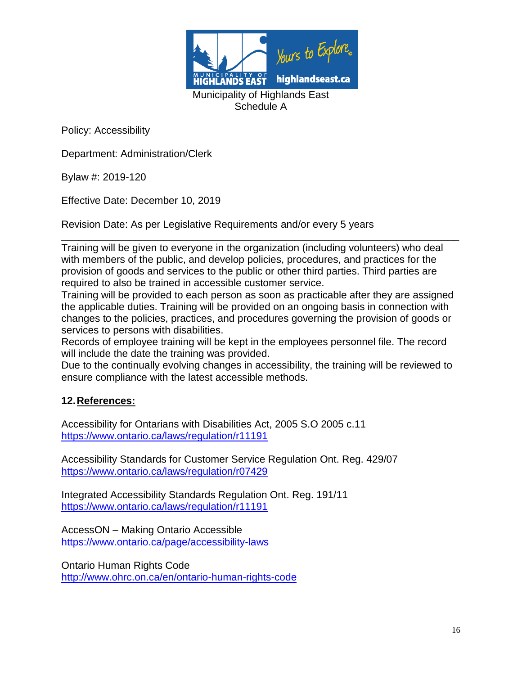

Department: Administration/Clerk

Bylaw #: 2019-120

Effective Date: December 10, 2019

Revision Date: As per Legislative Requirements and/or every 5 years

**\_\_\_\_\_\_\_\_\_\_\_\_\_\_\_\_\_\_\_\_\_\_\_\_\_\_\_\_\_\_\_\_\_\_\_\_\_\_\_\_\_\_\_\_\_\_\_\_\_\_\_\_\_\_\_\_\_\_\_\_\_\_\_\_\_\_\_\_\_\_** Training will be given to everyone in the organization (including volunteers) who deal with members of the public, and develop policies, procedures, and practices for the provision of goods and services to the public or other third parties. Third parties are required to also be trained in accessible customer service.

Training will be provided to each person as soon as practicable after they are assigned the applicable duties. Training will be provided on an ongoing basis in connection with changes to the policies, practices, and procedures governing the provision of goods or services to persons with disabilities.

Records of employee training will be kept in the employees personnel file. The record will include the date the training was provided.

Due to the continually evolving changes in accessibility, the training will be reviewed to ensure compliance with the latest accessible methods.

## **12.References:**

Accessibility for Ontarians with Disabilities Act, 2005 S.O 2005 c.11 <https://www.ontario.ca/laws/regulation/r11191>

Accessibility Standards for Customer Service Regulation Ont. Reg. 429/07 <https://www.ontario.ca/laws/regulation/r07429>

Integrated Accessibility Standards Regulation Ont. Reg. 191/11 <https://www.ontario.ca/laws/regulation/r11191>

AccessON – Making Ontario Accessible <https://www.ontario.ca/page/accessibility-laws>

Ontario Human Rights Code <http://www.ohrc.on.ca/en/ontario-human-rights-code>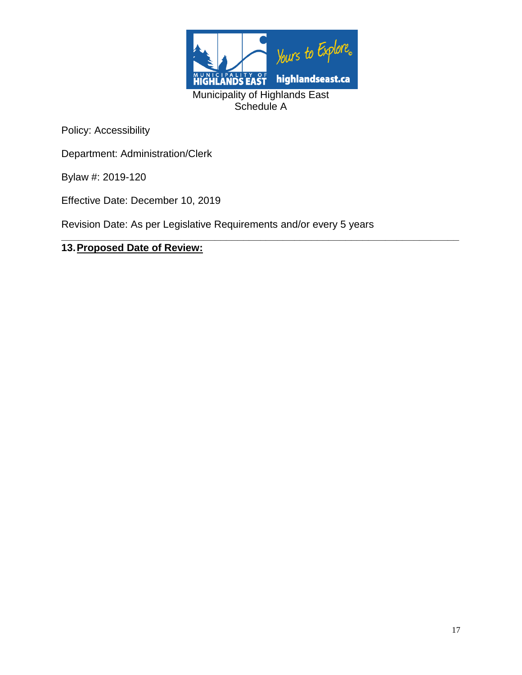

**\_\_\_\_\_\_\_\_\_\_\_\_\_\_\_\_\_\_\_\_\_\_\_\_\_\_\_\_\_\_\_\_\_\_\_\_\_\_\_\_\_\_\_\_\_\_\_\_\_\_\_\_\_\_\_\_\_\_\_\_\_\_\_\_\_\_\_\_\_\_**

Policy: Accessibility

Department: Administration/Clerk

Bylaw #: 2019-120

Effective Date: December 10, 2019

Revision Date: As per Legislative Requirements and/or every 5 years

# **13.Proposed Date of Review:**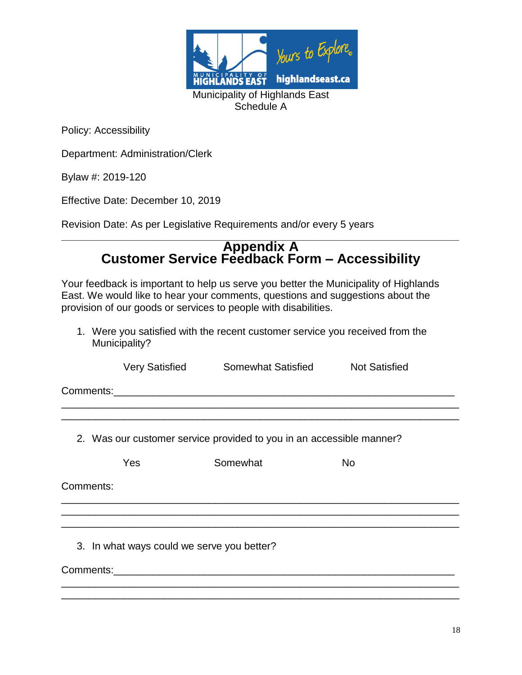

Department: Administration/Clerk

Bylaw #: 2019-120

Effective Date: December 10, 2019

Revision Date: As per Legislative Requirements and/or every 5 years

#### **\_\_\_\_\_\_\_\_\_\_\_\_\_\_\_\_\_\_\_\_\_\_\_\_\_\_\_\_\_\_\_\_\_\_\_\_\_\_\_\_\_\_\_\_\_\_\_\_\_\_\_\_\_\_\_\_\_\_\_\_\_\_\_\_\_\_\_\_\_\_ Appendix A Customer Service Feedback Form – Accessibility**

Your feedback is important to help us serve you better the Municipality of Highlands East. We would like to hear your comments, questions and suggestions about the provision of our goods or services to people with disabilities.

1. Were you satisfied with the recent customer service you received from the Municipality?

Very Satisfied Somewhat Satisfied Not Satisfied

\_\_\_\_\_\_\_\_\_\_\_\_\_\_\_\_\_\_\_\_\_\_\_\_\_\_\_\_\_\_\_\_\_\_\_\_\_\_\_\_\_\_\_\_\_\_\_\_\_\_\_\_\_\_\_\_\_\_\_\_\_\_\_\_\_\_\_\_\_\_ \_\_\_\_\_\_\_\_\_\_\_\_\_\_\_\_\_\_\_\_\_\_\_\_\_\_\_\_\_\_\_\_\_\_\_\_\_\_\_\_\_\_\_\_\_\_\_\_\_\_\_\_\_\_\_\_\_\_\_\_\_\_\_\_\_\_\_\_\_\_

\_\_\_\_\_\_\_\_\_\_\_\_\_\_\_\_\_\_\_\_\_\_\_\_\_\_\_\_\_\_\_\_\_\_\_\_\_\_\_\_\_\_\_\_\_\_\_\_\_\_\_\_\_\_\_\_\_\_\_\_\_\_\_\_\_\_\_\_\_\_ \_\_\_\_\_\_\_\_\_\_\_\_\_\_\_\_\_\_\_\_\_\_\_\_\_\_\_\_\_\_\_\_\_\_\_\_\_\_\_\_\_\_\_\_\_\_\_\_\_\_\_\_\_\_\_\_\_\_\_\_\_\_\_\_\_\_\_\_\_\_

\_\_\_\_\_\_\_\_\_\_\_\_\_\_\_\_\_\_\_\_\_\_\_\_\_\_\_\_\_\_\_\_\_\_\_\_\_\_\_\_\_\_\_\_\_\_\_\_\_\_\_\_\_\_\_\_\_\_\_\_\_\_\_\_\_\_\_\_\_\_ \_\_\_\_\_\_\_\_\_\_\_\_\_\_\_\_\_\_\_\_\_\_\_\_\_\_\_\_\_\_\_\_\_\_\_\_\_\_\_\_\_\_\_\_\_\_\_\_\_\_\_\_\_\_\_\_\_\_\_\_\_\_\_\_\_\_\_\_\_\_

Comments:\_\_\_\_\_\_\_\_\_\_\_\_\_\_\_\_\_\_\_\_\_\_\_\_\_\_\_\_\_\_\_\_\_\_\_\_\_\_\_\_\_\_\_\_\_\_\_\_\_\_\_\_\_\_\_\_\_\_\_\_

2. Was our customer service provided to you in an accessible manner?

Yes Somewhat No

\_\_\_\_\_\_\_\_\_\_\_\_\_\_\_\_\_\_\_\_\_\_\_\_\_\_\_\_\_\_\_\_\_\_\_\_\_\_\_\_\_\_\_\_\_\_\_\_\_\_\_\_\_\_\_\_\_\_\_\_\_\_\_\_\_\_\_\_\_\_

Comments:

3. In what ways could we serve you better?

Comments:\_\_\_\_\_\_\_\_\_\_\_\_\_\_\_\_\_\_\_\_\_\_\_\_\_\_\_\_\_\_\_\_\_\_\_\_\_\_\_\_\_\_\_\_\_\_\_\_\_\_\_\_\_\_\_\_\_\_\_\_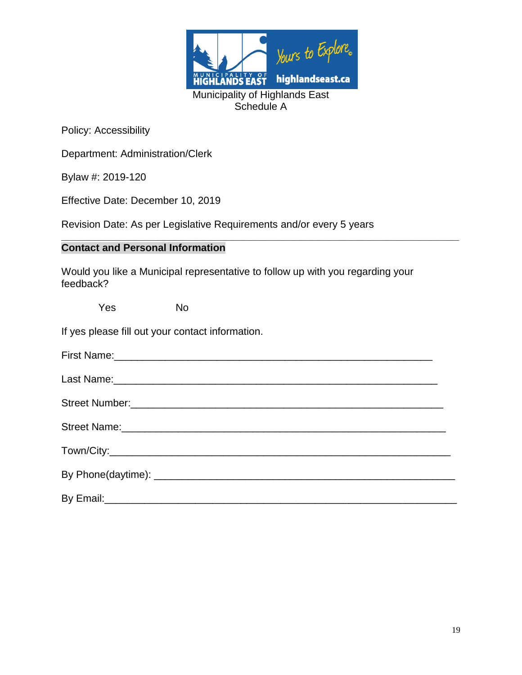

Department: Administration/Clerk

Bylaw #: 2019-120

Effective Date: December 10, 2019

Revision Date: As per Legislative Requirements and/or every 5 years

## **Contact and Personal Information**

Would you like a Municipal representative to follow up with you regarding your feedback?

**\_\_\_\_\_\_\_\_\_\_\_\_\_\_\_\_\_\_\_\_\_\_\_\_\_\_\_\_\_\_\_\_\_\_\_\_\_\_\_\_\_\_\_\_\_\_\_\_\_\_\_\_\_\_\_\_\_\_\_\_\_\_\_\_\_\_\_\_\_\_**

| <b>Yes</b>                                       | <b>No</b>                                                                                                      |
|--------------------------------------------------|----------------------------------------------------------------------------------------------------------------|
| If yes please fill out your contact information. |                                                                                                                |
|                                                  | First Name: 1988 Manual Manual Manual Manual Manual Manual Manual Manual Manual Manual Manual Manual Manual Ma |
|                                                  |                                                                                                                |
|                                                  |                                                                                                                |
|                                                  |                                                                                                                |
|                                                  |                                                                                                                |
|                                                  |                                                                                                                |
|                                                  |                                                                                                                |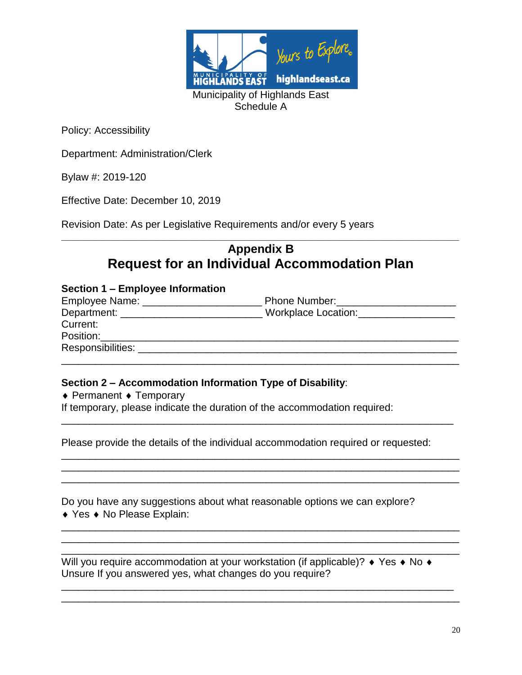

Department: Administration/Clerk

Bylaw #: 2019-120

Effective Date: December 10, 2019

Revision Date: As per Legislative Requirements and/or every 5 years

# **\_\_\_\_\_\_\_\_\_\_\_\_\_\_\_\_\_\_\_\_\_\_\_\_\_\_\_\_\_\_\_\_\_\_\_\_\_\_\_\_\_\_\_\_\_\_\_\_\_\_\_\_\_\_\_\_\_\_\_\_\_\_\_\_\_\_\_\_\_\_ Appendix B Request for an Individual Accommodation Plan**

#### **Section 1 – Employee Information**

| Employee Name: __________________ | <b>Phone Number:</b> The Contract of the Contract of the Contract of the Contract of the Contract of the Contract of the Contract of the Contract of the Contract of the Contract of the Contract of the Contract of the Contract o |
|-----------------------------------|-------------------------------------------------------------------------------------------------------------------------------------------------------------------------------------------------------------------------------------|
| Department: ___                   | Workplace Location:                                                                                                                                                                                                                 |
| Current:                          |                                                                                                                                                                                                                                     |
| Position:                         |                                                                                                                                                                                                                                     |
| Responsibilities:                 |                                                                                                                                                                                                                                     |
|                                   |                                                                                                                                                                                                                                     |

#### **Section 2 – Accommodation Information Type of Disability**:

 $\triangle$  Permanent  $\triangle$  Temporary

If temporary, please indicate the duration of the accommodation required:

Please provide the details of the individual accommodation required or requested:

\_\_\_\_\_\_\_\_\_\_\_\_\_\_\_\_\_\_\_\_\_\_\_\_\_\_\_\_\_\_\_\_\_\_\_\_\_\_\_\_\_\_\_\_\_\_\_\_\_\_\_\_\_\_\_\_\_\_\_\_\_\_\_\_\_\_\_\_\_

\_\_\_\_\_\_\_\_\_\_\_\_\_\_\_\_\_\_\_\_\_\_\_\_\_\_\_\_\_\_\_\_\_\_\_\_\_\_\_\_\_\_\_\_\_\_\_\_\_\_\_\_\_\_\_\_\_\_\_\_\_\_\_\_\_\_\_\_\_\_ \_\_\_\_\_\_\_\_\_\_\_\_\_\_\_\_\_\_\_\_\_\_\_\_\_\_\_\_\_\_\_\_\_\_\_\_\_\_\_\_\_\_\_\_\_\_\_\_\_\_\_\_\_\_\_\_\_\_\_\_\_\_\_\_\_\_\_\_\_\_ \_\_\_\_\_\_\_\_\_\_\_\_\_\_\_\_\_\_\_\_\_\_\_\_\_\_\_\_\_\_\_\_\_\_\_\_\_\_\_\_\_\_\_\_\_\_\_\_\_\_\_\_\_\_\_\_\_\_\_\_\_\_\_\_\_\_\_\_\_\_

\_\_\_\_\_\_\_\_\_\_\_\_\_\_\_\_\_\_\_\_\_\_\_\_\_\_\_\_\_\_\_\_\_\_\_\_\_\_\_\_\_\_\_\_\_\_\_\_\_\_\_\_\_\_\_\_\_\_\_\_\_\_\_\_\_\_\_\_\_\_ \_\_\_\_\_\_\_\_\_\_\_\_\_\_\_\_\_\_\_\_\_\_\_\_\_\_\_\_\_\_\_\_\_\_\_\_\_\_\_\_\_\_\_\_\_\_\_\_\_\_\_\_\_\_\_\_\_\_\_\_\_\_\_\_\_\_\_\_\_\_ \_\_\_\_\_\_\_\_\_\_\_\_\_\_\_\_\_\_\_\_\_\_\_\_\_\_\_\_\_\_\_\_\_\_\_\_\_\_\_\_\_\_\_\_\_\_\_\_\_\_\_\_\_\_\_\_\_\_\_\_\_\_\_\_\_\_\_\_\_\_

Do you have any suggestions about what reasonable options we can explore? ◆ Yes ◆ No Please Explain:

Will you require accommodation at your workstation (if applicable)?  $\rightarrow$  Yes  $\rightarrow$  No  $\rightarrow$ Unsure If you answered yes, what changes do you require?

\_\_\_\_\_\_\_\_\_\_\_\_\_\_\_\_\_\_\_\_\_\_\_\_\_\_\_\_\_\_\_\_\_\_\_\_\_\_\_\_\_\_\_\_\_\_\_\_\_\_\_\_\_\_\_\_\_\_\_\_\_\_\_\_\_\_\_\_\_ \_\_\_\_\_\_\_\_\_\_\_\_\_\_\_\_\_\_\_\_\_\_\_\_\_\_\_\_\_\_\_\_\_\_\_\_\_\_\_\_\_\_\_\_\_\_\_\_\_\_\_\_\_\_\_\_\_\_\_\_\_\_\_\_\_\_\_\_\_\_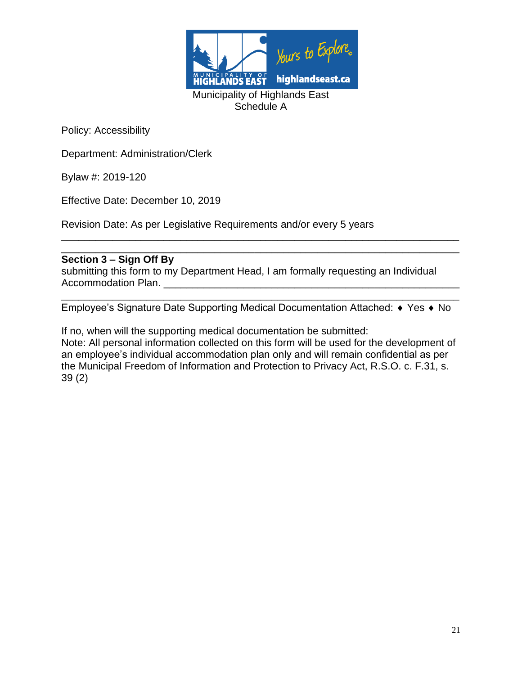

Department: Administration/Clerk

Bylaw #: 2019-120

Effective Date: December 10, 2019

Revision Date: As per Legislative Requirements and/or every 5 years

## **Section 3 – Sign Off By**

submitting this form to my Department Head, I am formally requesting an Individual Accommodation Plan. \_\_\_\_\_\_\_\_\_\_\_\_\_\_\_\_\_\_\_\_\_\_\_\_\_\_\_\_\_\_\_\_\_\_\_\_\_\_\_\_\_\_\_\_\_\_\_\_\_\_\_\_

\_\_\_\_\_\_\_\_\_\_\_\_\_\_\_\_\_\_\_\_\_\_\_\_\_\_\_\_\_\_\_\_\_\_\_\_\_\_\_\_\_\_\_\_\_\_\_\_\_\_\_\_\_\_\_\_\_\_\_\_\_\_\_\_\_\_\_\_\_\_ Employee's Signature Date Supporting Medical Documentation Attached: ♦ Yes ♦ No

**\_\_\_\_\_\_\_\_\_\_\_\_\_\_\_\_\_\_\_\_\_\_\_\_\_\_\_\_\_\_\_\_\_\_\_\_\_\_\_\_\_\_\_\_\_\_\_\_\_\_\_\_\_\_\_\_\_\_\_\_\_\_\_\_\_\_\_\_\_\_**

\_\_\_\_\_\_\_\_\_\_\_\_\_\_\_\_\_\_\_\_\_\_\_\_\_\_\_\_\_\_\_\_\_\_\_\_\_\_\_\_\_\_\_\_\_\_\_\_\_\_\_\_\_\_\_\_\_\_\_\_\_\_\_\_\_\_\_\_\_\_

If no, when will the supporting medical documentation be submitted: Note: All personal information collected on this form will be used for the development of an employee's individual accommodation plan only and will remain confidential as per the Municipal Freedom of Information and Protection to Privacy Act, R.S.O. c. F.31, s.

39 (2)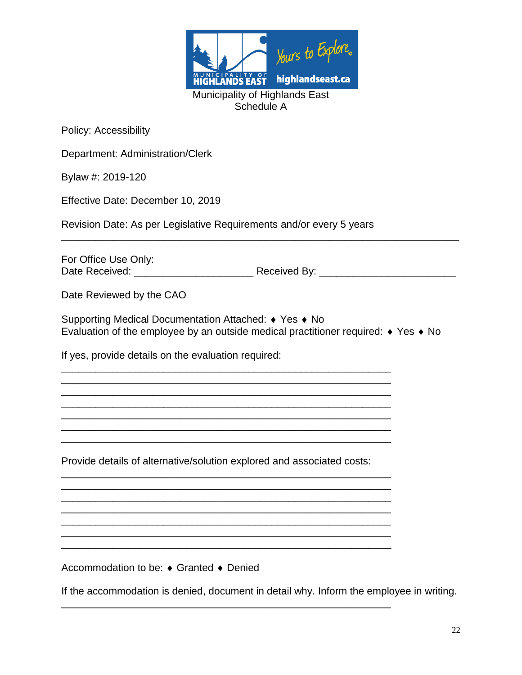

Department: Administration/Clerk

Bylaw #: 2019-120

Effective Date: December 10, 2019

Revision Date: As per Legislative Requirements and/or every 5 years

For Office Use Only: Date Received: \_\_\_\_\_\_\_\_\_\_\_\_\_\_\_\_\_\_\_\_\_ Received By: \_\_\_\_\_\_\_\_\_\_\_\_\_\_\_\_\_\_\_\_\_\_\_\_

**\_\_\_\_\_\_\_\_\_\_\_\_\_\_\_\_\_\_\_\_\_\_\_\_\_\_\_\_\_\_\_\_\_\_\_\_\_\_\_\_\_\_\_\_\_\_\_\_\_\_\_\_\_\_\_\_\_\_\_\_\_\_\_\_\_\_\_\_\_\_**

Date Reviewed by the CAO

Supporting Medical Documentation Attached: ♦ Yes ♦ No Evaluation of the employee by an outside medical practitioner required:  $\bullet$  Yes  $\bullet$  No

If yes, provide details on the evaluation required:

Provide details of alternative/solution explored and associated costs:

\_\_\_\_\_\_\_\_\_\_\_\_\_\_\_\_\_\_\_\_\_\_\_\_\_\_\_\_\_\_\_\_\_\_\_\_\_\_\_\_\_\_\_\_\_\_\_\_\_\_\_\_\_\_\_\_\_\_ \_\_\_\_\_\_\_\_\_\_\_\_\_\_\_\_\_\_\_\_\_\_\_\_\_\_\_\_\_\_\_\_\_\_\_\_\_\_\_\_\_\_\_\_\_\_\_\_\_\_\_\_\_\_\_\_\_\_ \_\_\_\_\_\_\_\_\_\_\_\_\_\_\_\_\_\_\_\_\_\_\_\_\_\_\_\_\_\_\_\_\_\_\_\_\_\_\_\_\_\_\_\_\_\_\_\_\_\_\_\_\_\_\_\_\_\_ \_\_\_\_\_\_\_\_\_\_\_\_\_\_\_\_\_\_\_\_\_\_\_\_\_\_\_\_\_\_\_\_\_\_\_\_\_\_\_\_\_\_\_\_\_\_\_\_\_\_\_\_\_\_\_\_\_\_ \_\_\_\_\_\_\_\_\_\_\_\_\_\_\_\_\_\_\_\_\_\_\_\_\_\_\_\_\_\_\_\_\_\_\_\_\_\_\_\_\_\_\_\_\_\_\_\_\_\_\_\_\_\_\_\_\_\_ \_\_\_\_\_\_\_\_\_\_\_\_\_\_\_\_\_\_\_\_\_\_\_\_\_\_\_\_\_\_\_\_\_\_\_\_\_\_\_\_\_\_\_\_\_\_\_\_\_\_\_\_\_\_\_\_\_\_ \_\_\_\_\_\_\_\_\_\_\_\_\_\_\_\_\_\_\_\_\_\_\_\_\_\_\_\_\_\_\_\_\_\_\_\_\_\_\_\_\_\_\_\_\_\_\_\_\_\_\_\_\_\_\_\_\_\_

\_\_\_\_\_\_\_\_\_\_\_\_\_\_\_\_\_\_\_\_\_\_\_\_\_\_\_\_\_\_\_\_\_\_\_\_\_\_\_\_\_\_\_\_\_\_\_\_\_\_\_\_\_\_\_\_\_\_

\_\_\_\_\_\_\_\_\_\_\_\_\_\_\_\_\_\_\_\_\_\_\_\_\_\_\_\_\_\_\_\_\_\_\_\_\_\_\_\_\_\_\_\_\_\_\_\_\_\_\_\_\_\_\_\_\_\_ \_\_\_\_\_\_\_\_\_\_\_\_\_\_\_\_\_\_\_\_\_\_\_\_\_\_\_\_\_\_\_\_\_\_\_\_\_\_\_\_\_\_\_\_\_\_\_\_\_\_\_\_\_\_\_\_\_\_ \_\_\_\_\_\_\_\_\_\_\_\_\_\_\_\_\_\_\_\_\_\_\_\_\_\_\_\_\_\_\_\_\_\_\_\_\_\_\_\_\_\_\_\_\_\_\_\_\_\_\_\_\_\_\_\_\_\_ \_\_\_\_\_\_\_\_\_\_\_\_\_\_\_\_\_\_\_\_\_\_\_\_\_\_\_\_\_\_\_\_\_\_\_\_\_\_\_\_\_\_\_\_\_\_\_\_\_\_\_\_\_\_\_\_\_\_ \_\_\_\_\_\_\_\_\_\_\_\_\_\_\_\_\_\_\_\_\_\_\_\_\_\_\_\_\_\_\_\_\_\_\_\_\_\_\_\_\_\_\_\_\_\_\_\_\_\_\_\_\_\_\_\_\_\_ \_\_\_\_\_\_\_\_\_\_\_\_\_\_\_\_\_\_\_\_\_\_\_\_\_\_\_\_\_\_\_\_\_\_\_\_\_\_\_\_\_\_\_\_\_\_\_\_\_\_\_\_\_\_\_\_\_\_ \_\_\_\_\_\_\_\_\_\_\_\_\_\_\_\_\_\_\_\_\_\_\_\_\_\_\_\_\_\_\_\_\_\_\_\_\_\_\_\_\_\_\_\_\_\_\_\_\_\_\_\_\_\_\_\_\_\_

Accommodation to be: ♦ Granted ♦ Denied

If the accommodation is denied, document in detail why. Inform the employee in writing.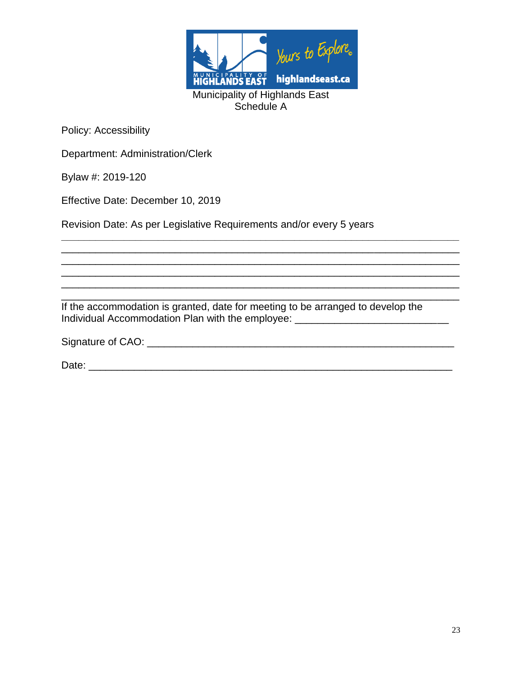

Department: Administration/Clerk

Bylaw #: 2019-120

Effective Date: December 10, 2019

Revision Date: As per Legislative Requirements and/or every 5 years

\_\_\_\_\_\_\_\_\_\_\_\_\_\_\_\_\_\_\_\_\_\_\_\_\_\_\_\_\_\_\_\_\_\_\_\_\_\_\_\_\_\_\_\_\_\_\_\_\_\_\_\_\_\_\_\_\_\_\_\_\_\_\_\_\_\_\_\_\_\_ If the accommodation is granted, date for meeting to be arranged to develop the Individual Accommodation Plan with the employee: \_\_\_\_\_\_\_\_\_\_\_\_\_\_\_\_\_\_\_\_\_\_\_\_\_\_\_\_\_\_\_

\_\_\_\_\_\_\_\_\_\_\_\_\_\_\_\_\_\_\_\_\_\_\_\_\_\_\_\_\_\_\_\_\_\_\_\_\_\_\_\_\_\_\_\_\_\_\_\_\_\_\_\_\_\_\_\_\_\_\_\_\_\_\_\_\_\_\_\_\_\_ \_\_\_\_\_\_\_\_\_\_\_\_\_\_\_\_\_\_\_\_\_\_\_\_\_\_\_\_\_\_\_\_\_\_\_\_\_\_\_\_\_\_\_\_\_\_\_\_\_\_\_\_\_\_\_\_\_\_\_\_\_\_\_\_\_\_\_\_\_\_

 $\mathcal{L}_\mathcal{L}$  , and the contribution of the contribution of the contribution of the contribution of the contribution of the contribution of the contribution of the contribution of the contribution of the contribution of

| Signature of CAO: |  |  |
|-------------------|--|--|
|                   |  |  |

Date: \_\_\_\_\_\_\_\_\_\_\_\_\_\_\_\_\_\_\_\_\_\_\_\_\_\_\_\_\_\_\_\_\_\_\_\_\_\_\_\_\_\_\_\_\_\_\_\_\_\_\_\_\_\_\_\_\_\_\_\_\_\_\_\_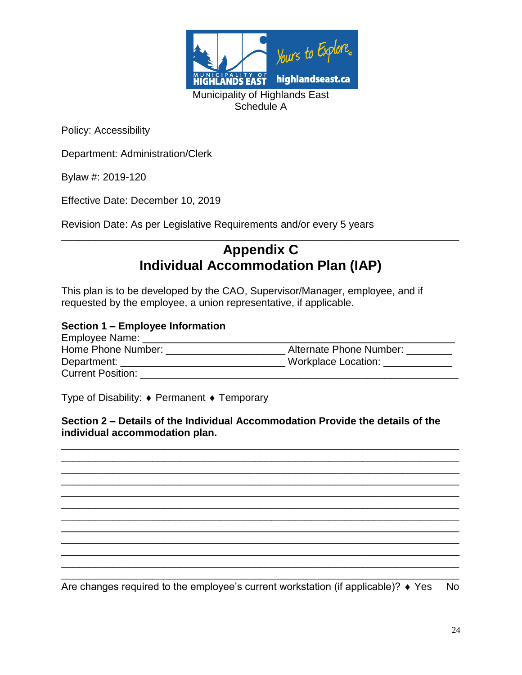

Department: Administration/Clerk

Bylaw #: 2019-120

Effective Date: December 10, 2019

Revision Date: As per Legislative Requirements and/or every 5 years

# **\_\_\_\_\_\_\_\_\_\_\_\_\_\_\_\_\_\_\_\_\_\_\_\_\_\_\_\_\_\_\_\_\_\_\_\_\_\_\_\_\_\_\_\_\_\_\_\_\_\_\_\_\_\_\_\_\_\_\_\_\_\_\_\_\_\_\_\_\_\_ Appendix C Individual Accommodation Plan (IAP)**

This plan is to be developed by the CAO, Supervisor/Manager, employee, and if requested by the employee, a union representative, if applicable.

#### **Section 1 – Employee Information**

| Employee Name:           |                         |
|--------------------------|-------------------------|
| Home Phone Number:       | Alternate Phone Number: |
| Department:              | Workplace Location:     |
| <b>Current Position:</b> |                         |

Type of Disability:  $\bullet$  Permanent  $\bullet$  Temporary

**Section 2 – Details of the Individual Accommodation Provide the details of the individual accommodation plan.**

\_\_\_\_\_\_\_\_\_\_\_\_\_\_\_\_\_\_\_\_\_\_\_\_\_\_\_\_\_\_\_\_\_\_\_\_\_\_\_\_\_\_\_\_\_\_\_\_\_\_\_\_\_\_\_\_\_\_\_\_\_\_\_\_\_\_\_\_\_\_ \_\_\_\_\_\_\_\_\_\_\_\_\_\_\_\_\_\_\_\_\_\_\_\_\_\_\_\_\_\_\_\_\_\_\_\_\_\_\_\_\_\_\_\_\_\_\_\_\_\_\_\_\_\_\_\_\_\_\_\_\_\_\_\_\_\_\_\_\_\_ \_\_\_\_\_\_\_\_\_\_\_\_\_\_\_\_\_\_\_\_\_\_\_\_\_\_\_\_\_\_\_\_\_\_\_\_\_\_\_\_\_\_\_\_\_\_\_\_\_\_\_\_\_\_\_\_\_\_\_\_\_\_\_\_\_\_\_\_\_\_ \_\_\_\_\_\_\_\_\_\_\_\_\_\_\_\_\_\_\_\_\_\_\_\_\_\_\_\_\_\_\_\_\_\_\_\_\_\_\_\_\_\_\_\_\_\_\_\_\_\_\_\_\_\_\_\_\_\_\_\_\_\_\_\_\_\_\_\_\_\_ \_\_\_\_\_\_\_\_\_\_\_\_\_\_\_\_\_\_\_\_\_\_\_\_\_\_\_\_\_\_\_\_\_\_\_\_\_\_\_\_\_\_\_\_\_\_\_\_\_\_\_\_\_\_\_\_\_\_\_\_\_\_\_\_\_\_\_\_\_\_ \_\_\_\_\_\_\_\_\_\_\_\_\_\_\_\_\_\_\_\_\_\_\_\_\_\_\_\_\_\_\_\_\_\_\_\_\_\_\_\_\_\_\_\_\_\_\_\_\_\_\_\_\_\_\_\_\_\_\_\_\_\_\_\_\_\_\_\_\_\_ \_\_\_\_\_\_\_\_\_\_\_\_\_\_\_\_\_\_\_\_\_\_\_\_\_\_\_\_\_\_\_\_\_\_\_\_\_\_\_\_\_\_\_\_\_\_\_\_\_\_\_\_\_\_\_\_\_\_\_\_\_\_\_\_\_\_\_\_\_\_ \_\_\_\_\_\_\_\_\_\_\_\_\_\_\_\_\_\_\_\_\_\_\_\_\_\_\_\_\_\_\_\_\_\_\_\_\_\_\_\_\_\_\_\_\_\_\_\_\_\_\_\_\_\_\_\_\_\_\_\_\_\_\_\_\_\_\_\_\_\_ \_\_\_\_\_\_\_\_\_\_\_\_\_\_\_\_\_\_\_\_\_\_\_\_\_\_\_\_\_\_\_\_\_\_\_\_\_\_\_\_\_\_\_\_\_\_\_\_\_\_\_\_\_\_\_\_\_\_\_\_\_\_\_\_\_\_\_\_\_\_ \_\_\_\_\_\_\_\_\_\_\_\_\_\_\_\_\_\_\_\_\_\_\_\_\_\_\_\_\_\_\_\_\_\_\_\_\_\_\_\_\_\_\_\_\_\_\_\_\_\_\_\_\_\_\_\_\_\_\_\_\_\_\_\_\_\_\_\_\_\_ \_\_\_\_\_\_\_\_\_\_\_\_\_\_\_\_\_\_\_\_\_\_\_\_\_\_\_\_\_\_\_\_\_\_\_\_\_\_\_\_\_\_\_\_\_\_\_\_\_\_\_\_\_\_\_\_\_\_\_\_\_\_\_\_\_\_\_\_\_\_

\_\_\_\_\_\_\_\_\_\_\_\_\_\_\_\_\_\_\_\_\_\_\_\_\_\_\_\_\_\_\_\_\_\_\_\_\_\_\_\_\_\_\_\_\_\_\_\_\_\_\_\_\_\_\_\_\_\_\_\_\_\_\_\_\_\_\_\_\_\_ Are changes required to the employee's current workstation (if applicable)?  $\bullet$  Yes No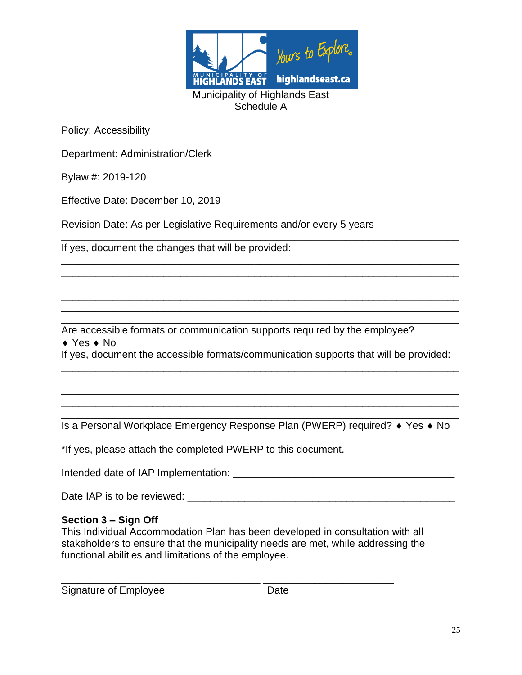

Department: Administration/Clerk

Bylaw #: 2019-120

Effective Date: December 10, 2019

Revision Date: As per Legislative Requirements and/or every 5 years

If yes, document the changes that will be provided:

Are accessible formats or communication supports required by the employee?

 $\triangle$  Yes  $\triangle$  No

If yes, document the accessible formats/communication supports that will be provided: \_\_\_\_\_\_\_\_\_\_\_\_\_\_\_\_\_\_\_\_\_\_\_\_\_\_\_\_\_\_\_\_\_\_\_\_\_\_\_\_\_\_\_\_\_\_\_\_\_\_\_\_\_\_\_\_\_\_\_\_\_\_\_\_\_\_\_\_\_\_

\_\_\_\_\_\_\_\_\_\_\_\_\_\_\_\_\_\_\_\_\_\_\_\_\_\_\_\_\_\_\_\_\_\_\_\_\_\_\_\_\_\_\_\_\_\_\_\_\_\_\_\_\_\_\_\_\_\_\_\_\_\_\_\_\_\_\_\_\_\_ \_\_\_\_\_\_\_\_\_\_\_\_\_\_\_\_\_\_\_\_\_\_\_\_\_\_\_\_\_\_\_\_\_\_\_\_\_\_\_\_\_\_\_\_\_\_\_\_\_\_\_\_\_\_\_\_\_\_\_\_\_\_\_\_\_\_\_\_\_\_ \_\_\_\_\_\_\_\_\_\_\_\_\_\_\_\_\_\_\_\_\_\_\_\_\_\_\_\_\_\_\_\_\_\_\_\_\_\_\_\_\_\_\_\_\_\_\_\_\_\_\_\_\_\_\_\_\_\_\_\_\_\_\_\_\_\_\_\_\_\_

**\_\_\_\_\_\_\_\_\_\_\_\_\_\_\_\_\_\_\_\_\_\_\_\_\_\_\_\_\_\_\_\_\_\_\_\_\_\_\_\_\_\_\_\_\_\_\_\_\_\_\_\_\_\_\_\_\_\_\_\_\_\_\_\_\_\_\_\_\_\_**

\_\_\_\_\_\_\_\_\_\_\_\_\_\_\_\_\_\_\_\_\_\_\_\_\_\_\_\_\_\_\_\_\_\_\_\_\_\_\_\_\_\_\_\_\_\_\_\_\_\_\_\_\_\_\_\_\_\_\_\_\_\_\_\_\_\_\_\_\_\_ \_\_\_\_\_\_\_\_\_\_\_\_\_\_\_\_\_\_\_\_\_\_\_\_\_\_\_\_\_\_\_\_\_\_\_\_\_\_\_\_\_\_\_\_\_\_\_\_\_\_\_\_\_\_\_\_\_\_\_\_\_\_\_\_\_\_\_\_\_\_ \_\_\_\_\_\_\_\_\_\_\_\_\_\_\_\_\_\_\_\_\_\_\_\_\_\_\_\_\_\_\_\_\_\_\_\_\_\_\_\_\_\_\_\_\_\_\_\_\_\_\_\_\_\_\_\_\_\_\_\_\_\_\_\_\_\_\_\_\_\_ \_\_\_\_\_\_\_\_\_\_\_\_\_\_\_\_\_\_\_\_\_\_\_\_\_\_\_\_\_\_\_\_\_\_\_\_\_\_\_\_\_\_\_\_\_\_\_\_\_\_\_\_\_\_\_\_\_\_\_\_\_\_\_\_\_\_\_\_\_\_ \_\_\_\_\_\_\_\_\_\_\_\_\_\_\_\_\_\_\_\_\_\_\_\_\_\_\_\_\_\_\_\_\_\_\_\_\_\_\_\_\_\_\_\_\_\_\_\_\_\_\_\_\_\_\_\_\_\_\_\_\_\_\_\_\_\_\_\_\_\_ \_\_\_\_\_\_\_\_\_\_\_\_\_\_\_\_\_\_\_\_\_\_\_\_\_\_\_\_\_\_\_\_\_\_\_\_\_\_\_\_\_\_\_\_\_\_\_\_\_\_\_\_\_\_\_\_\_\_\_\_\_\_\_\_\_\_\_\_\_\_

\_\_\_\_\_\_\_\_\_\_\_\_\_\_\_\_\_\_\_\_\_\_\_\_\_\_\_\_\_\_\_\_\_\_\_\_\_\_\_\_\_\_\_\_\_\_\_\_\_\_\_\_\_\_\_\_\_\_\_\_\_\_\_\_\_\_\_\_\_\_ Is a Personal Workplace Emergency Response Plan (PWERP) required? ♦ Yes ♦ No

\*If yes, please attach the completed PWERP to this document.

Intended date of IAP Implementation: \_\_\_\_\_\_\_\_\_\_\_\_\_\_\_\_\_\_\_\_\_\_\_\_\_\_\_\_\_\_\_\_\_\_\_\_\_\_\_

\_\_\_\_\_\_\_\_\_\_\_\_\_\_\_\_\_\_\_\_\_\_\_\_\_\_\_\_\_\_\_\_\_\_\_ \_\_\_\_\_\_\_\_\_\_\_\_\_\_\_\_\_\_\_\_\_\_\_

Date IAP is to be reviewed: \_\_\_\_\_\_\_\_\_\_\_\_\_\_\_\_\_\_\_\_\_\_\_\_\_\_\_\_\_\_\_\_\_\_\_\_\_\_\_\_\_\_\_\_\_\_\_

#### **Section 3 – Sign Off**

This Individual Accommodation Plan has been developed in consultation with all stakeholders to ensure that the municipality needs are met, while addressing the functional abilities and limitations of the employee.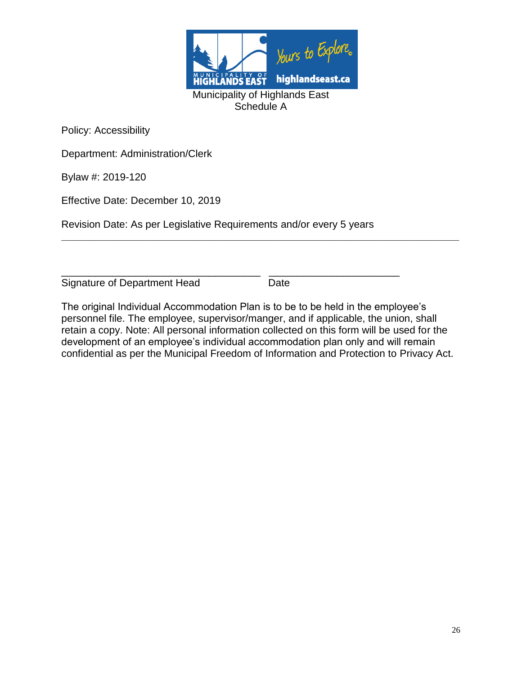

Department: Administration/Clerk

Bylaw #: 2019-120

Effective Date: December 10, 2019

Revision Date: As per Legislative Requirements and/or every 5 years

\_\_\_\_\_\_\_\_\_\_\_\_\_\_\_\_\_\_\_\_\_\_\_\_\_\_\_\_\_\_\_\_\_\_\_ \_\_\_\_\_\_\_\_\_\_\_\_\_\_\_\_\_\_\_\_\_\_\_ Signature of Department Head Date

The original Individual Accommodation Plan is to be to be held in the employee's personnel file. The employee, supervisor/manger, and if applicable, the union, shall retain a copy. Note: All personal information collected on this form will be used for the development of an employee's individual accommodation plan only and will remain confidential as per the Municipal Freedom of Information and Protection to Privacy Act.

**\_\_\_\_\_\_\_\_\_\_\_\_\_\_\_\_\_\_\_\_\_\_\_\_\_\_\_\_\_\_\_\_\_\_\_\_\_\_\_\_\_\_\_\_\_\_\_\_\_\_\_\_\_\_\_\_\_\_\_\_\_\_\_\_\_\_\_\_\_\_**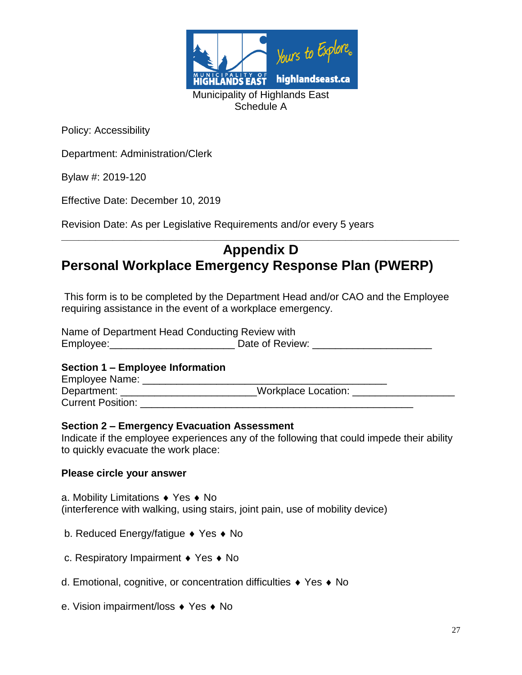

Department: Administration/Clerk

Bylaw #: 2019-120

Effective Date: December 10, 2019

Revision Date: As per Legislative Requirements and/or every 5 years

# **Appendix D Personal Workplace Emergency Response Plan (PWERP)**

**\_\_\_\_\_\_\_\_\_\_\_\_\_\_\_\_\_\_\_\_\_\_\_\_\_\_\_\_\_\_\_\_\_\_\_\_\_\_\_\_\_\_\_\_\_\_\_\_\_\_\_\_\_\_\_\_\_\_\_\_\_\_\_\_\_\_\_\_\_\_**

This form is to be completed by the Department Head and/or CAO and the Employee requiring assistance in the event of a workplace emergency.

Name of Department Head Conducting Review with Employee:\_\_\_\_\_\_\_\_\_\_\_\_\_\_\_\_\_\_\_\_\_\_\_\_\_\_\_\_\_\_\_\_\_ Date of Review: \_\_\_\_\_\_\_\_\_\_\_\_\_\_\_\_\_\_\_\_\_

#### **Section 1 – Employee Information**

Employee Name: \_\_\_\_\_\_\_\_\_\_\_\_\_\_\_\_\_\_\_\_\_\_\_\_\_\_\_\_\_\_\_\_\_\_\_\_\_\_\_\_\_\_\_ Department: \_\_\_\_\_\_\_\_\_\_\_\_\_\_\_\_\_\_\_\_\_\_\_\_\_\_\_Workplace Location: \_\_\_\_\_\_\_\_\_\_\_\_\_\_\_\_\_\_\_\_\_ Current Position:

#### **Section 2 – Emergency Evacuation Assessment**

Indicate if the employee experiences any of the following that could impede their ability to quickly evacuate the work place:

#### **Please circle your answer**

a. Mobility Limitations  $\triangle$  Yes  $\triangle$  No (interference with walking, using stairs, joint pain, use of mobility device)

- b. Reduced Energy/fatigue  $\bullet$  Yes  $\bullet$  No
- c. Respiratory Impairment  $\bullet$  Yes  $\bullet$  No
- d. Emotional, cognitive, or concentration difficulties ♦ Yes ♦ No
- e. Vision impairment/loss ♦ Yes ♦ No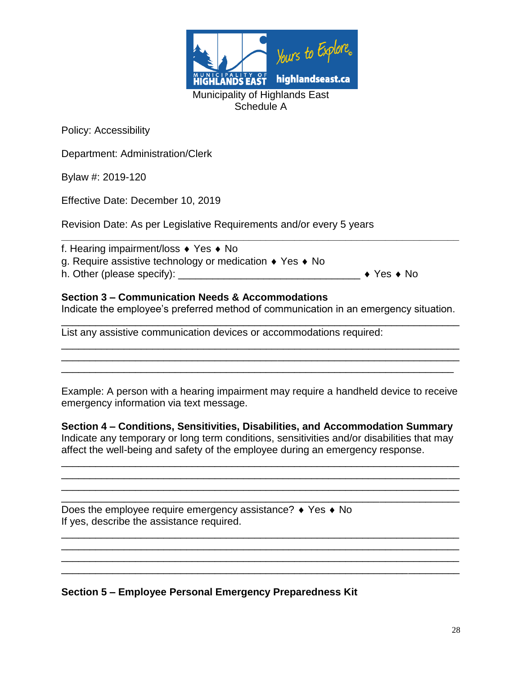

Department: Administration/Clerk

Bylaw #: 2019-120

Effective Date: December 10, 2019

Revision Date: As per Legislative Requirements and/or every 5 years

| f. Hearing impairment/loss $\bullet$ Yes $\bullet$ No                    |                                    |
|--------------------------------------------------------------------------|------------------------------------|
| g. Require assistive technology or medication $\bullet$ Yes $\bullet$ No |                                    |
| h. Other (please specify):                                               | $\rightarrow$ Yes $\rightarrow$ No |
|                                                                          |                                    |

## **Section 3 – Communication Needs & Accommodations**

Indicate the employee's preferred method of communication in an emergency situation. \_\_\_\_\_\_\_\_\_\_\_\_\_\_\_\_\_\_\_\_\_\_\_\_\_\_\_\_\_\_\_\_\_\_\_\_\_\_\_\_\_\_\_\_\_\_\_\_\_\_\_\_\_\_\_\_\_\_\_\_\_\_\_\_\_\_\_\_\_\_

\_\_\_\_\_\_\_\_\_\_\_\_\_\_\_\_\_\_\_\_\_\_\_\_\_\_\_\_\_\_\_\_\_\_\_\_\_\_\_\_\_\_\_\_\_\_\_\_\_\_\_\_\_\_\_\_\_\_\_\_\_\_\_\_\_\_\_\_\_\_ \_\_\_\_\_\_\_\_\_\_\_\_\_\_\_\_\_\_\_\_\_\_\_\_\_\_\_\_\_\_\_\_\_\_\_\_\_\_\_\_\_\_\_\_\_\_\_\_\_\_\_\_\_\_\_\_\_\_\_\_\_\_\_\_\_\_\_\_\_\_ \_\_\_\_\_\_\_\_\_\_\_\_\_\_\_\_\_\_\_\_\_\_\_\_\_\_\_\_\_\_\_\_\_\_\_\_\_\_\_\_\_\_\_\_\_\_\_\_\_\_\_\_\_\_\_\_\_\_\_\_\_\_\_\_\_\_\_\_\_

List any assistive communication devices or accommodations required:

Example: A person with a hearing impairment may require a handheld device to receive emergency information via text message.

**Section 4 – Conditions, Sensitivities, Disabilities, and Accommodation Summary** Indicate any temporary or long term conditions, sensitivities and/or disabilities that may affect the well-being and safety of the employee during an emergency response.

\_\_\_\_\_\_\_\_\_\_\_\_\_\_\_\_\_\_\_\_\_\_\_\_\_\_\_\_\_\_\_\_\_\_\_\_\_\_\_\_\_\_\_\_\_\_\_\_\_\_\_\_\_\_\_\_\_\_\_\_\_\_\_\_\_\_\_\_\_\_ \_\_\_\_\_\_\_\_\_\_\_\_\_\_\_\_\_\_\_\_\_\_\_\_\_\_\_\_\_\_\_\_\_\_\_\_\_\_\_\_\_\_\_\_\_\_\_\_\_\_\_\_\_\_\_\_\_\_\_\_\_\_\_\_\_\_\_\_\_\_ \_\_\_\_\_\_\_\_\_\_\_\_\_\_\_\_\_\_\_\_\_\_\_\_\_\_\_\_\_\_\_\_\_\_\_\_\_\_\_\_\_\_\_\_\_\_\_\_\_\_\_\_\_\_\_\_\_\_\_\_\_\_\_\_\_\_\_\_\_\_ \_\_\_\_\_\_\_\_\_\_\_\_\_\_\_\_\_\_\_\_\_\_\_\_\_\_\_\_\_\_\_\_\_\_\_\_\_\_\_\_\_\_\_\_\_\_\_\_\_\_\_\_\_\_\_\_\_\_\_\_\_\_\_\_\_\_\_\_\_\_

\_\_\_\_\_\_\_\_\_\_\_\_\_\_\_\_\_\_\_\_\_\_\_\_\_\_\_\_\_\_\_\_\_\_\_\_\_\_\_\_\_\_\_\_\_\_\_\_\_\_\_\_\_\_\_\_\_\_\_\_\_\_\_\_\_\_\_\_\_\_ \_\_\_\_\_\_\_\_\_\_\_\_\_\_\_\_\_\_\_\_\_\_\_\_\_\_\_\_\_\_\_\_\_\_\_\_\_\_\_\_\_\_\_\_\_\_\_\_\_\_\_\_\_\_\_\_\_\_\_\_\_\_\_\_\_\_\_\_\_\_

\_\_\_\_\_\_\_\_\_\_\_\_\_\_\_\_\_\_\_\_\_\_\_\_\_\_\_\_\_\_\_\_\_\_\_\_\_\_\_\_\_\_\_\_\_\_\_\_\_\_\_\_\_\_\_\_\_\_\_\_\_\_\_\_\_\_\_\_\_\_

Does the employee require emergency assistance?  $\rightarrow$  Yes  $\rightarrow$  No If yes, describe the assistance required.

**Section 5 – Employee Personal Emergency Preparedness Kit**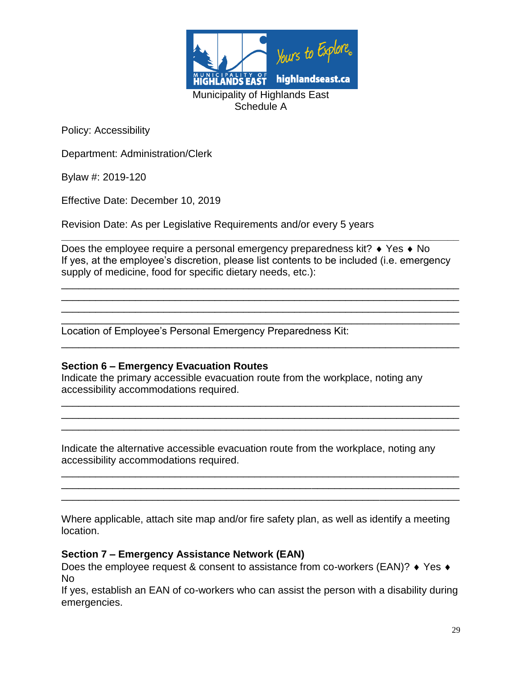

Department: Administration/Clerk

Bylaw #: 2019-120

Effective Date: December 10, 2019

Revision Date: As per Legislative Requirements and/or every 5 years

Does the employee require a personal emergency preparedness kit?  $\bullet$  Yes  $\bullet$  No If yes, at the employee's discretion, please list contents to be included (i.e. emergency supply of medicine, food for specific dietary needs, etc.):

\_\_\_\_\_\_\_\_\_\_\_\_\_\_\_\_\_\_\_\_\_\_\_\_\_\_\_\_\_\_\_\_\_\_\_\_\_\_\_\_\_\_\_\_\_\_\_\_\_\_\_\_\_\_\_\_\_\_\_\_\_\_\_\_\_\_\_\_\_\_ \_\_\_\_\_\_\_\_\_\_\_\_\_\_\_\_\_\_\_\_\_\_\_\_\_\_\_\_\_\_\_\_\_\_\_\_\_\_\_\_\_\_\_\_\_\_\_\_\_\_\_\_\_\_\_\_\_\_\_\_\_\_\_\_\_\_\_\_\_\_ \_\_\_\_\_\_\_\_\_\_\_\_\_\_\_\_\_\_\_\_\_\_\_\_\_\_\_\_\_\_\_\_\_\_\_\_\_\_\_\_\_\_\_\_\_\_\_\_\_\_\_\_\_\_\_\_\_\_\_\_\_\_\_\_\_\_\_\_\_\_

\_\_\_\_\_\_\_\_\_\_\_\_\_\_\_\_\_\_\_\_\_\_\_\_\_\_\_\_\_\_\_\_\_\_\_\_\_\_\_\_\_\_\_\_\_\_\_\_\_\_\_\_\_\_\_\_\_\_\_\_\_\_\_\_\_\_\_\_\_\_

\_\_\_\_\_\_\_\_\_\_\_\_\_\_\_\_\_\_\_\_\_\_\_\_\_\_\_\_\_\_\_\_\_\_\_\_\_\_\_\_\_\_\_\_\_\_\_\_\_\_\_\_\_\_\_\_\_\_\_\_\_\_\_\_\_\_\_\_\_\_ \_\_\_\_\_\_\_\_\_\_\_\_\_\_\_\_\_\_\_\_\_\_\_\_\_\_\_\_\_\_\_\_\_\_\_\_\_\_\_\_\_\_\_\_\_\_\_\_\_\_\_\_\_\_\_\_\_\_\_\_\_\_\_\_\_\_\_\_\_\_ \_\_\_\_\_\_\_\_\_\_\_\_\_\_\_\_\_\_\_\_\_\_\_\_\_\_\_\_\_\_\_\_\_\_\_\_\_\_\_\_\_\_\_\_\_\_\_\_\_\_\_\_\_\_\_\_\_\_\_\_\_\_\_\_\_\_\_\_\_\_

**\_\_\_\_\_\_\_\_\_\_\_\_\_\_\_\_\_\_\_\_\_\_\_\_\_\_\_\_\_\_\_\_\_\_\_\_\_\_\_\_\_\_\_\_\_\_\_\_\_\_\_\_\_\_\_\_\_\_\_\_\_\_\_\_\_\_\_\_\_\_**

\_\_\_\_\_\_\_\_\_\_\_\_\_\_\_\_\_\_\_\_\_\_\_\_\_\_\_\_\_\_\_\_\_\_\_\_\_\_\_\_\_\_\_\_\_\_\_\_\_\_\_\_\_\_\_\_\_\_\_\_\_\_\_\_\_\_\_\_\_\_ Location of Employee's Personal Emergency Preparedness Kit:

#### **Section 6 – Emergency Evacuation Routes**

Indicate the primary accessible evacuation route from the workplace, noting any accessibility accommodations required.

Indicate the alternative accessible evacuation route from the workplace, noting any accessibility accommodations required.

Where applicable, attach site map and/or fire safety plan, as well as identify a meeting location.

\_\_\_\_\_\_\_\_\_\_\_\_\_\_\_\_\_\_\_\_\_\_\_\_\_\_\_\_\_\_\_\_\_\_\_\_\_\_\_\_\_\_\_\_\_\_\_\_\_\_\_\_\_\_\_\_\_\_\_\_\_\_\_\_\_\_\_\_\_\_ \_\_\_\_\_\_\_\_\_\_\_\_\_\_\_\_\_\_\_\_\_\_\_\_\_\_\_\_\_\_\_\_\_\_\_\_\_\_\_\_\_\_\_\_\_\_\_\_\_\_\_\_\_\_\_\_\_\_\_\_\_\_\_\_\_\_\_\_\_\_ \_\_\_\_\_\_\_\_\_\_\_\_\_\_\_\_\_\_\_\_\_\_\_\_\_\_\_\_\_\_\_\_\_\_\_\_\_\_\_\_\_\_\_\_\_\_\_\_\_\_\_\_\_\_\_\_\_\_\_\_\_\_\_\_\_\_\_\_\_\_

#### **Section 7 – Emergency Assistance Network (EAN)**

Does the employee request & consent to assistance from co-workers (EAN)?  $\bullet$  Yes  $\bullet$ No

If yes, establish an EAN of co-workers who can assist the person with a disability during emergencies.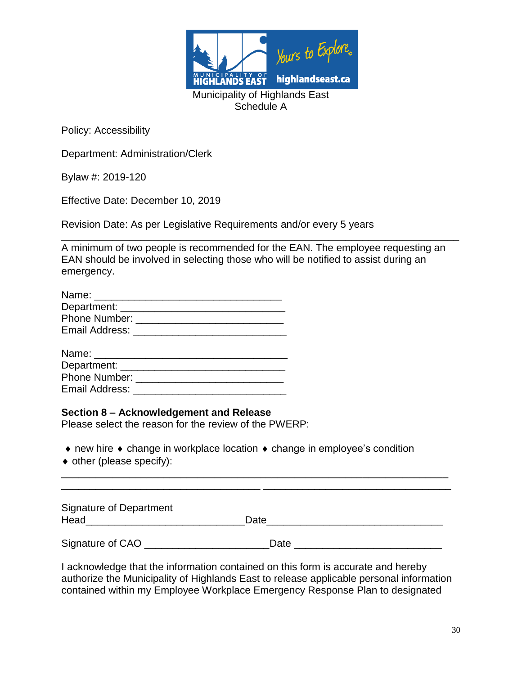

Department: Administration/Clerk

Bylaw #: 2019-120

Effective Date: December 10, 2019

Revision Date: As per Legislative Requirements and/or every 5 years

**\_\_\_\_\_\_\_\_\_\_\_\_\_\_\_\_\_\_\_\_\_\_\_\_\_\_\_\_\_\_\_\_\_\_\_\_\_\_\_\_\_\_\_\_\_\_\_\_\_\_\_\_\_\_\_\_\_\_\_\_\_\_\_\_\_\_\_\_\_\_** A minimum of two people is recommended for the EAN. The employee requesting an EAN should be involved in selecting those who will be notified to assist during an emergency.

| Name:          |  |
|----------------|--|
| Department:    |  |
| Phone Number:  |  |
| Email Address: |  |

#### **Section 8 – Acknowledgement and Release**

Please select the reason for the review of the PWERP:

 $\bullet$  new hire  $\bullet$  change in workplace location  $\bullet$  change in employee's condition

• other (please specify):

| Signature of Department<br>Head | Date |  |
|---------------------------------|------|--|
| Signature of CAO                | Date |  |

\_\_\_\_\_\_\_\_\_\_\_\_\_\_\_\_\_\_\_\_\_\_\_\_\_\_\_\_\_\_\_\_\_\_\_\_\_\_\_\_\_\_\_\_\_\_\_\_\_\_\_\_\_\_\_\_\_\_\_\_\_\_\_\_\_\_\_\_ \_\_\_\_\_\_\_\_\_\_\_\_\_\_\_\_\_\_\_\_\_\_\_\_\_\_\_\_\_\_\_\_\_\_\_ \_\_\_\_\_\_\_\_\_\_\_\_\_\_\_\_\_\_\_\_\_\_\_\_\_\_\_\_\_\_\_\_\_

I acknowledge that the information contained on this form is accurate and hereby authorize the Municipality of Highlands East to release applicable personal information contained within my Employee Workplace Emergency Response Plan to designated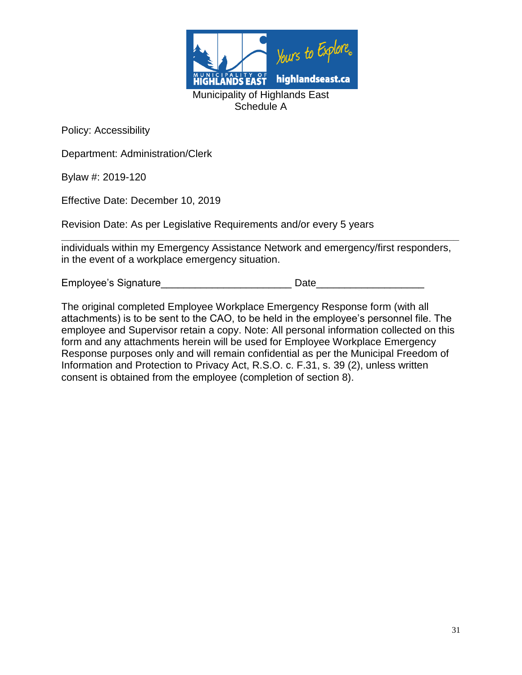

Department: Administration/Clerk

Bylaw #: 2019-120

Effective Date: December 10, 2019

Revision Date: As per Legislative Requirements and/or every 5 years

**\_\_\_\_\_\_\_\_\_\_\_\_\_\_\_\_\_\_\_\_\_\_\_\_\_\_\_\_\_\_\_\_\_\_\_\_\_\_\_\_\_\_\_\_\_\_\_\_\_\_\_\_\_\_\_\_\_\_\_\_\_\_\_\_\_\_\_\_\_\_** individuals within my Emergency Assistance Network and emergency/first responders, in the event of a workplace emergency situation.

Employee's Signature entitled and the Date of Date of Date of the Signature of the Date of the Signature of the Signature of the Signature of the Signature of the Signature of the Signature of the Signature of the Signatur

The original completed Employee Workplace Emergency Response form (with all attachments) is to be sent to the CAO, to be held in the employee's personnel file. The employee and Supervisor retain a copy. Note: All personal information collected on this form and any attachments herein will be used for Employee Workplace Emergency Response purposes only and will remain confidential as per the Municipal Freedom of Information and Protection to Privacy Act, R.S.O. c. F.31, s. 39 (2), unless written consent is obtained from the employee (completion of section 8).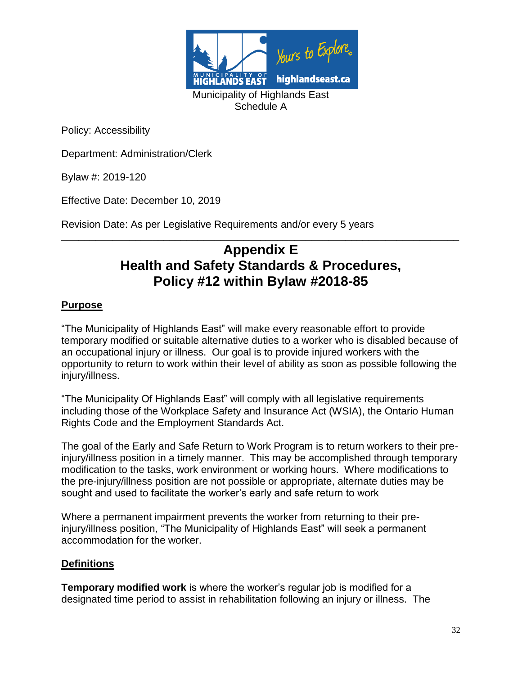

Department: Administration/Clerk

Bylaw #: 2019-120

Effective Date: December 10, 2019

Revision Date: As per Legislative Requirements and/or every 5 years

# **\_\_\_\_\_\_\_\_\_\_\_\_\_\_\_\_\_\_\_\_\_\_\_\_\_\_\_\_\_\_\_\_\_\_\_\_\_\_\_\_\_\_\_\_\_\_\_\_\_\_\_\_\_\_\_\_\_\_\_\_\_\_\_\_\_\_\_\_\_\_ Appendix E Health and Safety Standards & Procedures, Policy #12 within Bylaw #2018-85**

## **Purpose**

"The Municipality of Highlands East" will make every reasonable effort to provide temporary modified or suitable alternative duties to a worker who is disabled because of an occupational injury or illness. Our goal is to provide injured workers with the opportunity to return to work within their level of ability as soon as possible following the injury/illness.

"The Municipality Of Highlands East" will comply with all legislative requirements including those of the Workplace Safety and Insurance Act (WSIA), the Ontario Human Rights Code and the Employment Standards Act.

The goal of the Early and Safe Return to Work Program is to return workers to their preinjury/illness position in a timely manner. This may be accomplished through temporary modification to the tasks, work environment or working hours. Where modifications to the pre-injury/illness position are not possible or appropriate, alternate duties may be sought and used to facilitate the worker's early and safe return to work

Where a permanent impairment prevents the worker from returning to their preinjury/illness position, "The Municipality of Highlands East" will seek a permanent accommodation for the worker.

#### **Definitions**

**Temporary modified work** is where the worker's regular job is modified for a designated time period to assist in rehabilitation following an injury or illness. The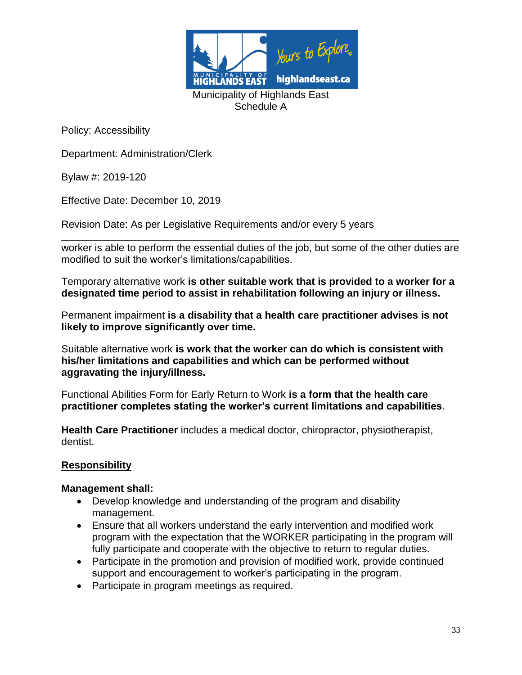

Department: Administration/Clerk

Bylaw #: 2019-120

Effective Date: December 10, 2019

Revision Date: As per Legislative Requirements and/or every 5 years

**\_\_\_\_\_\_\_\_\_\_\_\_\_\_\_\_\_\_\_\_\_\_\_\_\_\_\_\_\_\_\_\_\_\_\_\_\_\_\_\_\_\_\_\_\_\_\_\_\_\_\_\_\_\_\_\_\_\_\_\_\_\_\_\_\_\_\_\_\_\_** worker is able to perform the essential duties of the job, but some of the other duties are modified to suit the worker's limitations/capabilities.

Temporary alternative work **is other suitable work that is provided to a worker for a designated time period to assist in rehabilitation following an injury or illness.**

Permanent impairment **is a disability that a health care practitioner advises is not likely to improve significantly over time.**

Suitable alternative work **is work that the worker can do which is consistent with his/her limitations and capabilities and which can be performed without aggravating the injury/illness.**

Functional Abilities Form for Early Return to Work **is a form that the health care practitioner completes stating the worker's current limitations and capabilities**.

**Health Care Practitioner** includes a medical doctor, chiropractor, physiotherapist, dentist.

## **Responsibility**

#### **Management shall:**

- Develop knowledge and understanding of the program and disability management.
- Ensure that all workers understand the early intervention and modified work program with the expectation that the WORKER participating in the program will fully participate and cooperate with the objective to return to regular duties.
- Participate in the promotion and provision of modified work, provide continued support and encouragement to worker's participating in the program.
- Participate in program meetings as required.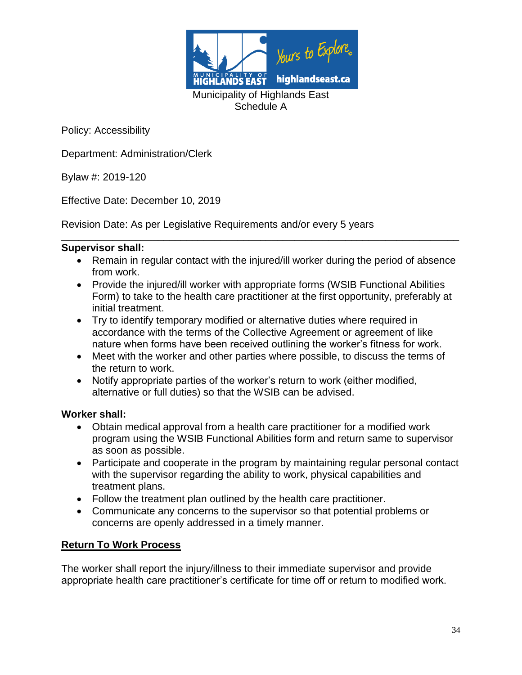

Department: Administration/Clerk

Bylaw #: 2019-120

Effective Date: December 10, 2019

Revision Date: As per Legislative Requirements and/or every 5 years

#### **Supervisor shall:**

 Remain in regular contact with the injured/ill worker during the period of absence from work.

**\_\_\_\_\_\_\_\_\_\_\_\_\_\_\_\_\_\_\_\_\_\_\_\_\_\_\_\_\_\_\_\_\_\_\_\_\_\_\_\_\_\_\_\_\_\_\_\_\_\_\_\_\_\_\_\_\_\_\_\_\_\_\_\_\_\_\_\_\_\_**

- Provide the injured/ill worker with appropriate forms (WSIB Functional Abilities Form) to take to the health care practitioner at the first opportunity, preferably at initial treatment.
- Try to identify temporary modified or alternative duties where required in accordance with the terms of the Collective Agreement or agreement of like nature when forms have been received outlining the worker's fitness for work.
- Meet with the worker and other parties where possible, to discuss the terms of the return to work.
- Notify appropriate parties of the worker's return to work (either modified, alternative or full duties) so that the WSIB can be advised.

#### **Worker shall:**

- Obtain medical approval from a health care practitioner for a modified work program using the WSIB Functional Abilities form and return same to supervisor as soon as possible.
- Participate and cooperate in the program by maintaining regular personal contact with the supervisor regarding the ability to work, physical capabilities and treatment plans.
- Follow the treatment plan outlined by the health care practitioner.
- Communicate any concerns to the supervisor so that potential problems or concerns are openly addressed in a timely manner.

## **Return To Work Process**

The worker shall report the injury/illness to their immediate supervisor and provide appropriate health care practitioner's certificate for time off or return to modified work.